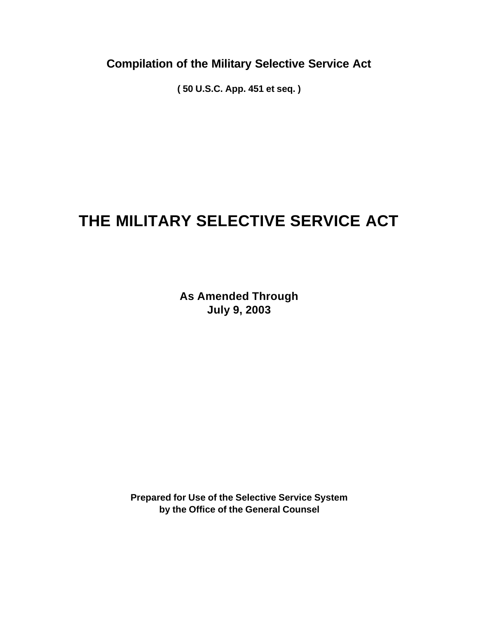**Compilation of the Military Selective Service Act**

**( 50 U.S.C. App. 451 et seq. )**

# **THE MILITARY SELECTIVE SERVICE ACT**

**As Amended Through July 9, 2003**

**Prepared for Use of the Selective Service System by the Office of the General Counsel**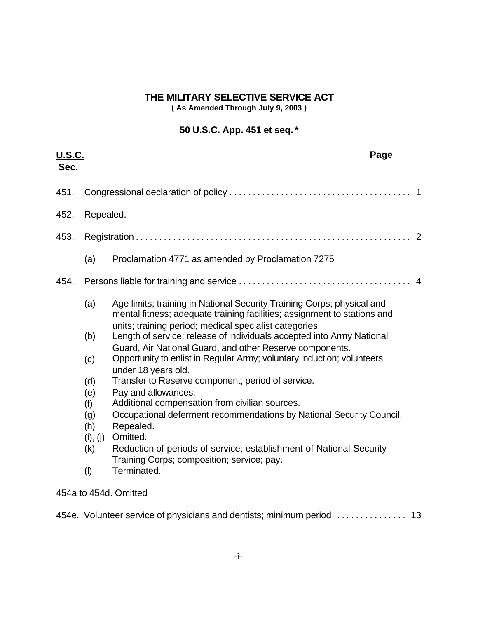## **THE MILITARY SELECTIVE SERVICE ACT**

**( As Amended Through July 9, 2003 )**

# **50 U.S.C. App. 451 et seq.\***

| <b>U.S.C.</b><br>Sec. |           | Page                                                                                                                                                                                                         |  |
|-----------------------|-----------|--------------------------------------------------------------------------------------------------------------------------------------------------------------------------------------------------------------|--|
| 451.                  |           |                                                                                                                                                                                                              |  |
| 452.                  | Repealed. |                                                                                                                                                                                                              |  |
| 453.                  |           |                                                                                                                                                                                                              |  |
|                       | (a)       | Proclamation 4771 as amended by Proclamation 7275                                                                                                                                                            |  |
| 454.                  |           |                                                                                                                                                                                                              |  |
|                       | (a)       | Age limits; training in National Security Training Corps; physical and<br>mental fitness; adequate training facilities; assignment to stations and<br>units; training period; medical specialist categories. |  |
|                       | (b)       | Length of service; release of individuals accepted into Army National<br>Guard, Air National Guard, and other Reserve components.                                                                            |  |
|                       | (c)       | Opportunity to enlist in Regular Army; voluntary induction; volunteers<br>under 18 years old.                                                                                                                |  |
|                       | (d)       | Transfer to Reserve component; period of service.                                                                                                                                                            |  |
|                       | (e)       | Pay and allowances.                                                                                                                                                                                          |  |
|                       | (f)       | Additional compensation from civilian sources.                                                                                                                                                               |  |
|                       | (g)       | Occupational deferment recommendations by National Security Council.                                                                                                                                         |  |
|                       | (h)       | Repealed.                                                                                                                                                                                                    |  |
|                       | (i), (j)  | Omitted.                                                                                                                                                                                                     |  |
|                       | (k)       | Reduction of periods of service; establishment of National Security<br>Training Corps; composition; service; pay.                                                                                            |  |
|                       | (1)       | Terminated.                                                                                                                                                                                                  |  |
|                       |           | 454a to 454d, Omitted                                                                                                                                                                                        |  |

454e. Volunteer service of physicians and dentists; minimum period ..................... 13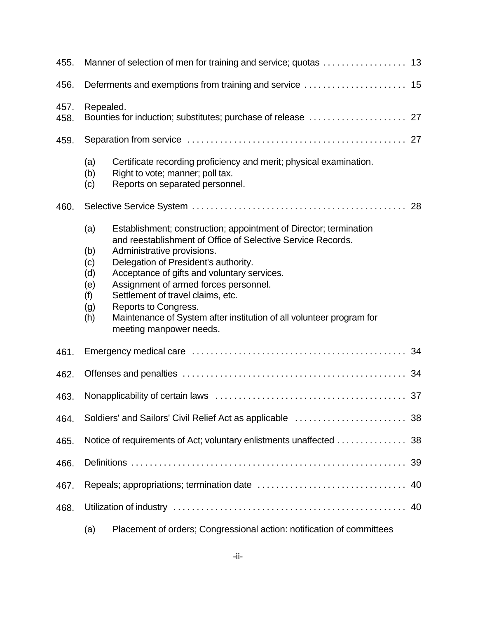| 455.         |                                                                           |                                                                                                                                                                                                                                                                                                                                                                                                                                                                |    |  |
|--------------|---------------------------------------------------------------------------|----------------------------------------------------------------------------------------------------------------------------------------------------------------------------------------------------------------------------------------------------------------------------------------------------------------------------------------------------------------------------------------------------------------------------------------------------------------|----|--|
| 456.         |                                                                           |                                                                                                                                                                                                                                                                                                                                                                                                                                                                |    |  |
| 457.<br>458. | Repealed.<br>Bounties for induction; substitutes; purchase of release  27 |                                                                                                                                                                                                                                                                                                                                                                                                                                                                |    |  |
| 459.         |                                                                           |                                                                                                                                                                                                                                                                                                                                                                                                                                                                |    |  |
|              | (a)<br>(b)<br>(c)                                                         | Certificate recording proficiency and merit; physical examination.<br>Right to vote; manner; poll tax.<br>Reports on separated personnel.                                                                                                                                                                                                                                                                                                                      |    |  |
| 460.         |                                                                           |                                                                                                                                                                                                                                                                                                                                                                                                                                                                |    |  |
|              | (a)<br>(b)<br>(c)<br>(d)<br>(e)<br>(f)<br>(g)<br>(h)                      | Establishment; construction; appointment of Director; termination<br>and reestablishment of Office of Selective Service Records.<br>Administrative provisions.<br>Delegation of President's authority.<br>Acceptance of gifts and voluntary services.<br>Assignment of armed forces personnel.<br>Settlement of travel claims, etc.<br>Reports to Congress.<br>Maintenance of System after institution of all volunteer program for<br>meeting manpower needs. |    |  |
| 461.         |                                                                           |                                                                                                                                                                                                                                                                                                                                                                                                                                                                | 34 |  |
| 462.         |                                                                           |                                                                                                                                                                                                                                                                                                                                                                                                                                                                | 34 |  |
| 463.         |                                                                           |                                                                                                                                                                                                                                                                                                                                                                                                                                                                |    |  |
| 464.         | Soldiers' and Sailors' Civil Relief Act as applicable<br>38               |                                                                                                                                                                                                                                                                                                                                                                                                                                                                |    |  |
| 465.         | Notice of requirements of Act; voluntary enlistments unaffected<br>38     |                                                                                                                                                                                                                                                                                                                                                                                                                                                                |    |  |
| 466.         | 39                                                                        |                                                                                                                                                                                                                                                                                                                                                                                                                                                                |    |  |
| 467.         | 40                                                                        |                                                                                                                                                                                                                                                                                                                                                                                                                                                                |    |  |
| 468.         | 40                                                                        |                                                                                                                                                                                                                                                                                                                                                                                                                                                                |    |  |
|              | (a)                                                                       | Placement of orders; Congressional action: notification of committees                                                                                                                                                                                                                                                                                                                                                                                          |    |  |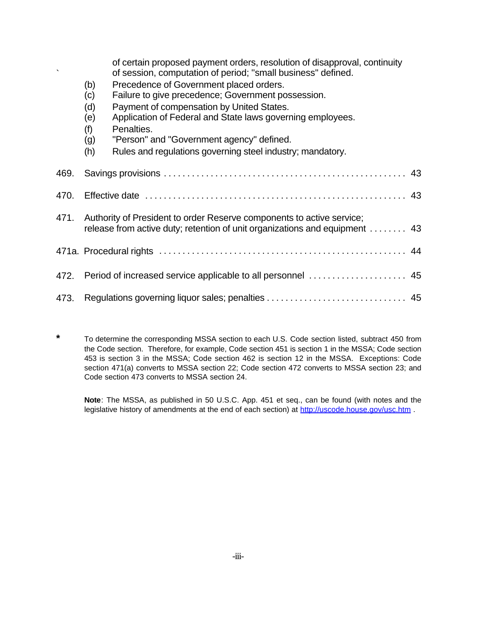|      | of certain proposed payment orders, resolution of disapproval, continuity<br>of session, computation of period; "small business" defined.<br>Precedence of Government placed orders.<br>(b)<br>Failure to give precedence; Government possession.<br>(c)<br>Payment of compensation by United States.<br>(d)<br>Application of Federal and State laws governing employees.<br>(e)<br>Penalties.<br>(f)<br>"Person" and "Government agency" defined.<br>(g)<br>Rules and regulations governing steel industry; mandatory.<br>(h) |  |  |
|------|---------------------------------------------------------------------------------------------------------------------------------------------------------------------------------------------------------------------------------------------------------------------------------------------------------------------------------------------------------------------------------------------------------------------------------------------------------------------------------------------------------------------------------|--|--|
| 469. |                                                                                                                                                                                                                                                                                                                                                                                                                                                                                                                                 |  |  |
| 470. |                                                                                                                                                                                                                                                                                                                                                                                                                                                                                                                                 |  |  |
|      | 471. Authority of President to order Reserve components to active service;<br>release from active duty; retention of unit organizations and equipment  43                                                                                                                                                                                                                                                                                                                                                                       |  |  |
|      |                                                                                                                                                                                                                                                                                                                                                                                                                                                                                                                                 |  |  |
|      | 472. Period of increased service applicable to all personnel  45                                                                                                                                                                                                                                                                                                                                                                                                                                                                |  |  |
| 473. |                                                                                                                                                                                                                                                                                                                                                                                                                                                                                                                                 |  |  |

**\*** To determine the corresponding MSSA section to each U.S. Code section listed, subtract 450 from the Code section. Therefore, for example, Code section 451 is section 1 in the MSSA; Code section 453 is section 3 in the MSSA; Code section 462 is section 12 in the MSSA. Exceptions: Code section 471(a) converts to MSSA section 22; Code section 472 converts to MSSA section 23; and Code section 473 converts to MSSA section 24.

**Note**: The MSSA, as published in 50 U.S.C. App. 451 et seq., can be found (with notes and the legislative history of amendments at the end of each section) at http://uscode.house.gov/usc.htm .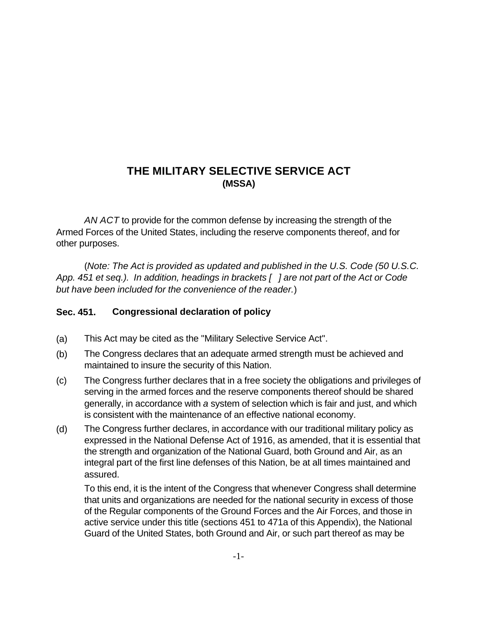# **THE MILITARY SELECTIVE SERVICE ACT (MSSA)**

*AN ACT* to provide for the common defense by increasing the strength of the Armed Forces of the United States, including the reserve components thereof, and for other purposes.

(*Note: The Act is provided as updated and published in the U.S. Code (50 U.S.C. App. 451 et seq.). In addition, headings in brackets [ ] are not part of the Act or Code but have been included for the convenience of the reader.*)

#### **Sec. 451. Congressional declaration of policy**

- (a) This Act may be cited as the ''Military Selective Service Act''.
- (b) The Congress declares that an adequate armed strength must be achieved and maintained to insure the security of this Nation.
- (c) The Congress further declares that in a free society the obligations and privileges of serving in the armed forces and the reserve components thereof should be shared generally, in accordance with *a* system of selection which is fair and just, and which is consistent with the maintenance of an effective national economy.
- (d) The Congress further declares, in accordance with our traditional military policy as expressed in the National Defense Act of 1916, as amended, that it is essential that the strength and organization of the National Guard, both Ground and Air, as an integral part of the first line defenses of this Nation, be at all times maintained and assured.

To this end, it is the intent of the Congress that whenever Congress shall determine that units and organizations are needed for the national security in excess of those of the Regular components of the Ground Forces and the Air Forces, and those in active service under this title (sections 451 to 471a of this Appendix), the National Guard of the United States, both Ground and Air, or such part thereof as may be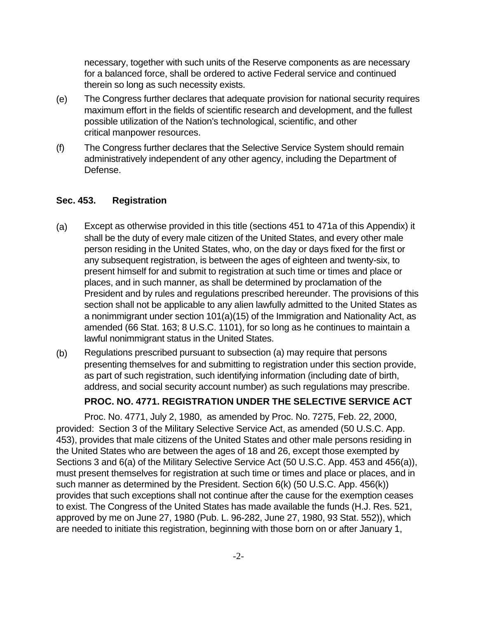necessary, together with such units of the Reserve components as are necessary for a balanced force, shall be ordered to active Federal service and continued therein so long as such necessity exists.

- (e) The Congress further declares that adequate provision for national security requires maximum effort in the fields of scientific research and development, and the fullest possible utilization of the Nation's technological, scientific, and other critical manpower resources.
- (f) The Congress further declares that the Selective Service System should remain administratively independent of any other agency, including the Department of Defense.

#### **Sec. 453. Registration**

- (a) Except as otherwise provided in this title (sections 451 to 471a of this Appendix) it shall be the duty of every male citizen of the United States, and every other male person residing in the United States, who, on the day or days fixed for the first or any subsequent registration, is between the ages of eighteen and twenty-six, to present himself for and submit to registration at such time or times and place or places, and in such manner, as shall be determined by proclamation of the President and by rules and regulations prescribed hereunder. The provisions of this section shall not be applicable to any alien lawfully admitted to the United States as a nonimmigrant under section 101(a)(15) of the Immigration and Nationality Act, as amended (66 Stat. 163; 8 U.S.C. 1101), for so long as he continues to maintain a lawful nonimmigrant status in the United States.
- (b) Regulations prescribed pursuant to subsection (a) may require that persons presenting themselves for and submitting to registration under this section provide, as part of such registration, such identifying information (including date of birth, address, and social security account number) as such regulations may prescribe.

#### **PROC. NO. 4771. REGISTRATION UNDER THE SELECTIVE SERVICE ACT**

Proc. No. 4771, July 2, 1980, as amended by Proc. No. 7275, Feb. 22, 2000, provided: Section 3 of the Military Selective Service Act, as amended (50 U.S.C. App. 453), provides that male citizens of the United States and other male persons residing in the United States who are between the ages of 18 and 26, except those exempted by Sections 3 and 6(a) of the Military Selective Service Act (50 U.S.C. App. 453 and 456(a)), must present themselves for registration at such time or times and place or places, and in such manner as determined by the President. Section 6(k) (50 U.S.C. App. 456(k)) provides that such exceptions shall not continue after the cause for the exemption ceases to exist. The Congress of the United States has made available the funds (H.J. Res. 521, approved by me on June 27, 1980 (Pub. L. 96-282, June 27, 1980, 93 Stat. 552)), which are needed to initiate this registration, beginning with those born on or after January 1,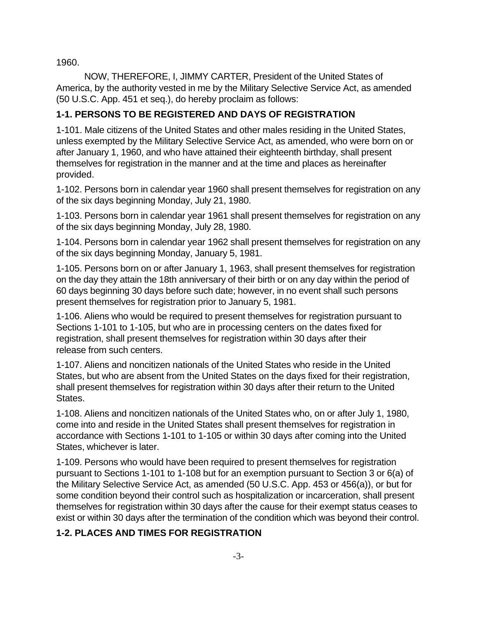1960.

NOW, THEREFORE, I, JIMMY CARTER, President of the United States of America, by the authority vested in me by the Military Selective Service Act, as amended (50 U.S.C. App. 451 et seq.), do hereby proclaim as follows:

# **1-1. PERSONS TO BE REGISTERED AND DAYS OF REGISTRATION**

1-101. Male citizens of the United States and other males residing in the United States, unless exempted by the Military Selective Service Act, as amended, who were born on or after January 1, 1960, and who have attained their eighteenth birthday, shall present themselves for registration in the manner and at the time and places as hereinafter provided.

1-102. Persons born in calendar year 1960 shall present themselves for registration on any of the six days beginning Monday, July 21, 1980.

1-103. Persons born in calendar year 1961 shall present themselves for registration on any of the six days beginning Monday, July 28, 1980.

1-104. Persons born in calendar year 1962 shall present themselves for registration on any of the six days beginning Monday, January 5, 1981.

1-105. Persons born on or after January 1, 1963, shall present themselves for registration on the day they attain the 18th anniversary of their birth or on any day within the period of 60 days beginning 30 days before such date; however, in no event shall such persons present themselves for registration prior to January 5, 1981.

1-106. Aliens who would be required to present themselves for registration pursuant to Sections 1-101 to 1-105, but who are in processing centers on the dates fixed for registration, shall present themselves for registration within 30 days after their release from such centers.

1-107. Aliens and noncitizen nationals of the United States who reside in the United States, but who are absent from the United States on the days fixed for their registration, shall present themselves for registration within 30 days after their return to the United States.

1-108. Aliens and noncitizen nationals of the United States who, on or after July 1, 1980, come into and reside in the United States shall present themselves for registration in accordance with Sections 1-101 to 1-105 or within 30 days after coming into the United States, whichever is later.

1-109. Persons who would have been required to present themselves for registration pursuant to Sections 1-101 to 1-108 but for an exemption pursuant to Section 3 or 6(a) of the Military Selective Service Act, as amended (50 U.S.C. App. 453 or 456(a)), or but for some condition beyond their control such as hospitalization or incarceration, shall present themselves for registration within 30 days after the cause for their exempt status ceases to exist or within 30 days after the termination of the condition which was beyond their control.

# **1-2. PLACES AND TIMES FOR REGISTRATION**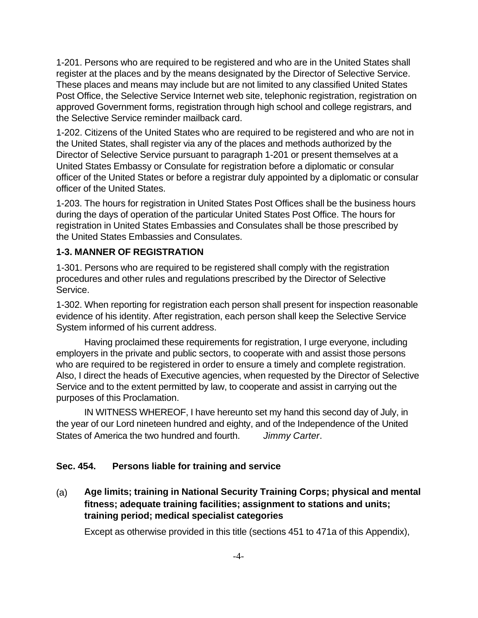1-201. Persons who are required to be registered and who are in the United States shall register at the places and by the means designated by the Director of Selective Service. These places and means may include but are not limited to any classified United States Post Office, the Selective Service Internet web site, telephonic registration, registration on approved Government forms, registration through high school and college registrars, and the Selective Service reminder mailback card.

1-202. Citizens of the United States who are required to be registered and who are not in the United States, shall register via any of the places and methods authorized by the Director of Selective Service pursuant to paragraph 1-201 or present themselves at a United States Embassy or Consulate for registration before a diplomatic or consular officer of the United States or before a registrar duly appointed by a diplomatic or consular officer of the United States.

1-203. The hours for registration in United States Post Offices shall be the business hours during the days of operation of the particular United States Post Office. The hours for registration in United States Embassies and Consulates shall be those prescribed by the United States Embassies and Consulates.

#### **1-3. MANNER OF REGISTRATION**

1-301. Persons who are required to be registered shall comply with the registration procedures and other rules and regulations prescribed by the Director of Selective Service.

1-302. When reporting for registration each person shall present for inspection reasonable evidence of his identity. After registration, each person shall keep the Selective Service System informed of his current address.

Having proclaimed these requirements for registration, I urge everyone, including employers in the private and public sectors, to cooperate with and assist those persons who are required to be registered in order to ensure a timely and complete registration. Also, I direct the heads of Executive agencies, when requested by the Director of Selective Service and to the extent permitted by law, to cooperate and assist in carrying out the purposes of this Proclamation.

IN WITNESS WHEREOF, I have hereunto set my hand this second day of July, in the year of our Lord nineteen hundred and eighty, and of the Independence of the United States of America the two hundred and fourth. *Jimmy Carter*.

#### **Sec. 454. Persons liable for training and service**

(a) **Age limits; training in National Security Training Corps; physical and mental fitness; adequate training facilities; assignment to stations and units; training period; medical specialist categories**

Except as otherwise provided in this title (sections 451 to 471a of this Appendix),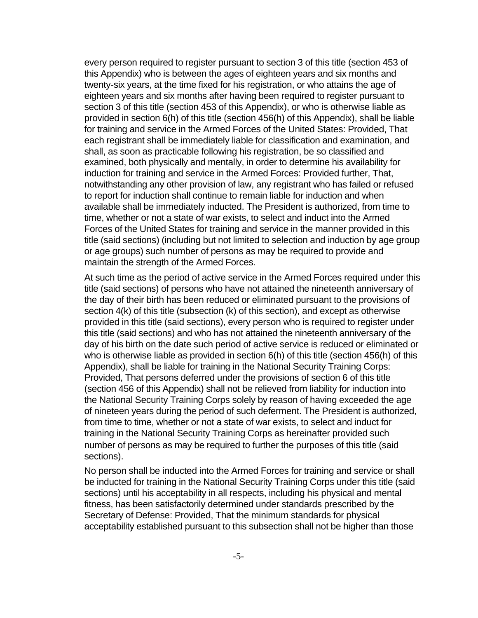every person required to register pursuant to section 3 of this title (section 453 of this Appendix) who is between the ages of eighteen years and six months and twenty-six years, at the time fixed for his registration, or who attains the age of eighteen years and six months after having been required to register pursuant to section 3 of this title (section 453 of this Appendix), or who is otherwise liable as provided in section 6(h) of this title (section 456(h) of this Appendix), shall be liable for training and service in the Armed Forces of the United States: Provided, That each registrant shall be immediately liable for classification and examination, and shall, as soon as practicable following his registration, be so classified and examined, both physically and mentally, in order to determine his availability for induction for training and service in the Armed Forces: Provided further, That, notwithstanding any other provision of law, any registrant who has failed or refused to report for induction shall continue to remain liable for induction and when available shall be immediately inducted. The President is authorized, from time to time, whether or not a state of war exists, to select and induct into the Armed Forces of the United States for training and service in the manner provided in this title (said sections) (including but not limited to selection and induction by age group or age groups) such number of persons as may be required to provide and maintain the strength of the Armed Forces.

At such time as the period of active service in the Armed Forces required under this title (said sections) of persons who have not attained the nineteenth anniversary of the day of their birth has been reduced or eliminated pursuant to the provisions of section 4(k) of this title (subsection (k) of this section), and except as otherwise provided in this title (said sections), every person who is required to register under this title (said sections) and who has not attained the nineteenth anniversary of the day of his birth on the date such period of active service is reduced or eliminated or who is otherwise liable as provided in section 6(h) of this title (section 456(h) of this Appendix), shall be liable for training in the National Security Training Corps: Provided, That persons deferred under the provisions of section 6 of this title (section 456 of this Appendix) shall not be relieved from liability for induction into the National Security Training Corps solely by reason of having exceeded the age of nineteen years during the period of such deferment. The President is authorized, from time to time, whether or not a state of war exists, to select and induct for training in the National Security Training Corps as hereinafter provided such number of persons as may be required to further the purposes of this title (said sections).

No person shall be inducted into the Armed Forces for training and service or shall be inducted for training in the National Security Training Corps under this title (said sections) until his acceptability in all respects, including his physical and mental fitness, has been satisfactorily determined under standards prescribed by the Secretary of Defense: Provided, That the minimum standards for physical acceptability established pursuant to this subsection shall not be higher than those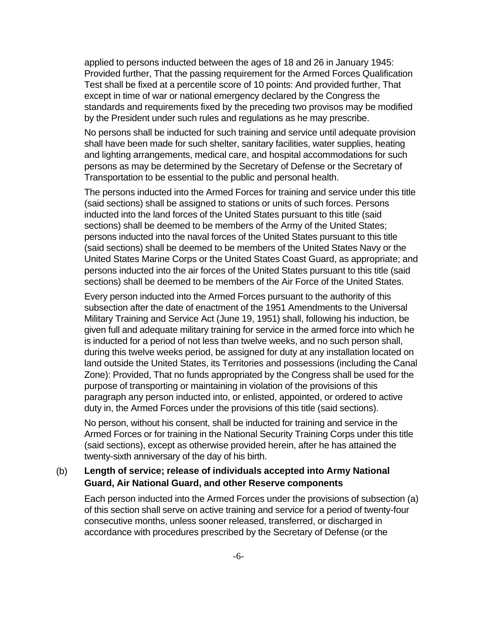applied to persons inducted between the ages of 18 and 26 in January 1945: Provided further, That the passing requirement for the Armed Forces Qualification Test shall be fixed at a percentile score of 10 points: And provided further, That except in time of war or national emergency declared by the Congress the standards and requirements fixed by the preceding two provisos may be modified by the President under such rules and regulations as he may prescribe.

No persons shall be inducted for such training and service until adequate provision shall have been made for such shelter, sanitary facilities, water supplies, heating and lighting arrangements, medical care, and hospital accommodations for such persons as may be determined by the Secretary of Defense or the Secretary of Transportation to be essential to the public and personal health.

The persons inducted into the Armed Forces for training and service under this title (said sections) shall be assigned to stations or units of such forces. Persons inducted into the land forces of the United States pursuant to this title (said sections) shall be deemed to be members of the Army of the United States; persons inducted into the naval forces of the United States pursuant to this title (said sections) shall be deemed to be members of the United States Navy or the United States Marine Corps or the United States Coast Guard, as appropriate; and persons inducted into the air forces of the United States pursuant to this title (said sections) shall be deemed to be members of the Air Force of the United States.

Every person inducted into the Armed Forces pursuant to the authority of this subsection after the date of enactment of the 1951 Amendments to the Universal Military Training and Service Act (June 19, 1951) shall, following his induction, be given full and adequate military training for service in the armed force into which he is inducted for a period of not less than twelve weeks, and no such person shall, during this twelve weeks period, be assigned for duty at any installation located on land outside the United States, its Territories and possessions (including the Canal Zone): Provided, That no funds appropriated by the Congress shall be used for the purpose of transporting or maintaining in violation of the provisions of this paragraph any person inducted into, or enlisted, appointed, or ordered to active duty in, the Armed Forces under the provisions of this title (said sections).

No person, without his consent, shall be inducted for training and service in the Armed Forces or for training in the National Security Training Corps under this title (said sections), except as otherwise provided herein, after he has attained the twenty-sixth anniversary of the day of his birth.

#### (b) **Length of service; release of individuals accepted into Army National Guard, Air National Guard, and other Reserve components**

Each person inducted into the Armed Forces under the provisions of subsection (a) of this section shall serve on active training and service for a period of twenty-four consecutive months, unless sooner released, transferred, or discharged in accordance with procedures prescribed by the Secretary of Defense (or the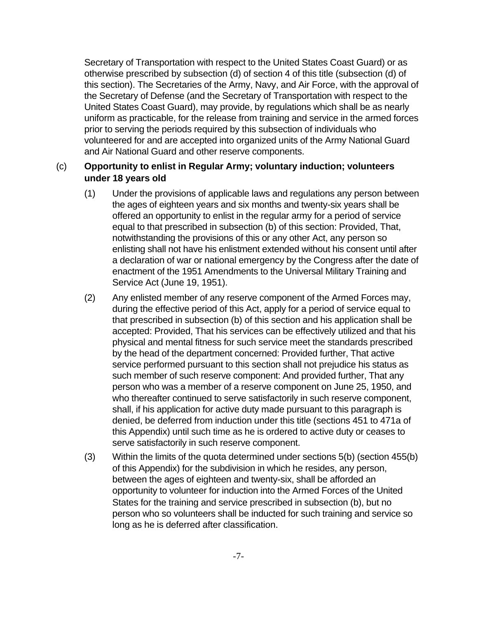Secretary of Transportation with respect to the United States Coast Guard) or as otherwise prescribed by subsection (d) of section 4 of this title (subsection (d) of this section). The Secretaries of the Army, Navy, and Air Force, with the approval of the Secretary of Defense (and the Secretary of Transportation with respect to the United States Coast Guard), may provide, by regulations which shall be as nearly uniform as practicable, for the release from training and service in the armed forces prior to serving the periods required by this subsection of individuals who volunteered for and are accepted into organized units of the Army National Guard and Air National Guard and other reserve components.

#### (c) **Opportunity to enlist in Regular Army; voluntary induction; volunteers under 18 years old**

- (1) Under the provisions of applicable laws and regulations any person between the ages of eighteen years and six months and twenty-six years shall be offered an opportunity to enlist in the regular army for a period of service equal to that prescribed in subsection (b) of this section: Provided, That, notwithstanding the provisions of this or any other Act, any person so enlisting shall not have his enlistment extended without his consent until after a declaration of war or national emergency by the Congress after the date of enactment of the 1951 Amendments to the Universal Military Training and Service Act (June 19, 1951).
- (2) Any enlisted member of any reserve component of the Armed Forces may, during the effective period of this Act, apply for a period of service equal to that prescribed in subsection (b) of this section and his application shall be accepted: Provided, That his services can be effectively utilized and that his physical and mental fitness for such service meet the standards prescribed by the head of the department concerned: Provided further, That active service performed pursuant to this section shall not prejudice his status as such member of such reserve component: And provided further, That any person who was a member of a reserve component on June 25, 1950, and who thereafter continued to serve satisfactorily in such reserve component, shall, if his application for active duty made pursuant to this paragraph is denied, be deferred from induction under this title (sections 451 to 471a of this Appendix) until such time as he is ordered to active duty or ceases to serve satisfactorily in such reserve component.
- (3) Within the limits of the quota determined under sections 5(b) (section 455(b) of this Appendix) for the subdivision in which he resides, any person, between the ages of eighteen and twenty-six, shall be afforded an opportunity to volunteer for induction into the Armed Forces of the United States for the training and service prescribed in subsection (b), but no person who so volunteers shall be inducted for such training and service so long as he is deferred after classification.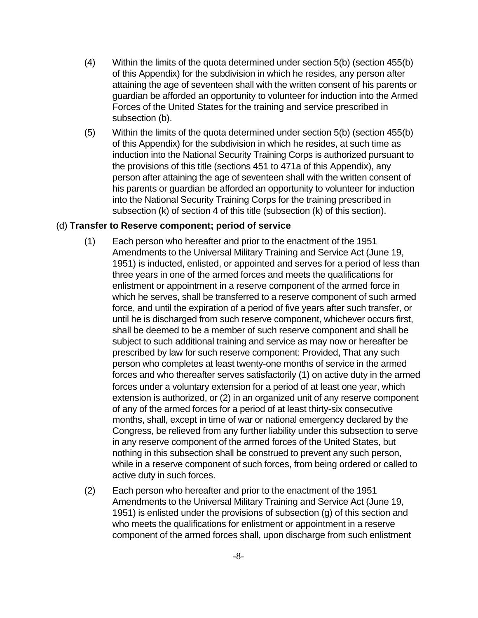- (4) Within the limits of the quota determined under section 5(b) (section 455(b) of this Appendix) for the subdivision in which he resides, any person after attaining the age of seventeen shall with the written consent of his parents or guardian be afforded an opportunity to volunteer for induction into the Armed Forces of the United States for the training and service prescribed in subsection (b).
- (5) Within the limits of the quota determined under section 5(b) (section 455(b) of this Appendix) for the subdivision in which he resides, at such time as induction into the National Security Training Corps is authorized pursuant to the provisions of this title (sections 451 to 471a of this Appendix), any person after attaining the age of seventeen shall with the written consent of his parents or guardian be afforded an opportunity to volunteer for induction into the National Security Training Corps for the training prescribed in subsection (k) of section 4 of this title (subsection (k) of this section).

#### (d) **Transfer to Reserve component; period of service**

- (1) Each person who hereafter and prior to the enactment of the 1951 Amendments to the Universal Military Training and Service Act (June 19, 1951) is inducted, enlisted, or appointed and serves for a period of less than three years in one of the armed forces and meets the qualifications for enlistment or appointment in a reserve component of the armed force in which he serves, shall be transferred to a reserve component of such armed force, and until the expiration of a period of five years after such transfer, or until he is discharged from such reserve component, whichever occurs first, shall be deemed to be a member of such reserve component and shall be subject to such additional training and service as may now or hereafter be prescribed by law for such reserve component: Provided, That any such person who completes at least twenty-one months of service in the armed forces and who thereafter serves satisfactorily (1) on active duty in the armed forces under a voluntary extension for a period of at least one year, which extension is authorized, or (2) in an organized unit of any reserve component of any of the armed forces for a period of at least thirty-six consecutive months, shall, except in time of war or national emergency declared by the Congress, be relieved from any further liability under this subsection to serve in any reserve component of the armed forces of the United States, but nothing in this subsection shall be construed to prevent any such person, while in a reserve component of such forces, from being ordered or called to active duty in such forces.
- (2) Each person who hereafter and prior to the enactment of the 1951 Amendments to the Universal Military Training and Service Act (June 19, 1951) is enlisted under the provisions of subsection (g) of this section and who meets the qualifications for enlistment or appointment in a reserve component of the armed forces shall, upon discharge from such enlistment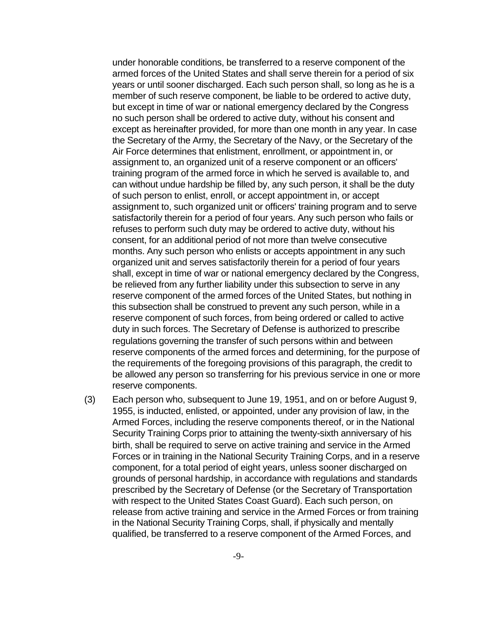under honorable conditions, be transferred to a reserve component of the armed forces of the United States and shall serve therein for a period of six years or until sooner discharged. Each such person shall, so long as he is a member of such reserve component, be liable to be ordered to active duty, but except in time of war or national emergency declared by the Congress no such person shall be ordered to active duty, without his consent and except as hereinafter provided, for more than one month in any year. In case the Secretary of the Army, the Secretary of the Navy, or the Secretary of the Air Force determines that enlistment, enrollment, or appointment in, or assignment to, an organized unit of a reserve component or an officers' training program of the armed force in which he served is available to, and can without undue hardship be filled by, any such person, it shall be the duty of such person to enlist, enroll, or accept appointment in, or accept assignment to, such organized unit or officers' training program and to serve satisfactorily therein for a period of four years. Any such person who fails or refuses to perform such duty may be ordered to active duty, without his consent, for an additional period of not more than twelve consecutive months. Any such person who enlists or accepts appointment in any such organized unit and serves satisfactorily therein for a period of four years shall, except in time of war or national emergency declared by the Congress, be relieved from any further liability under this subsection to serve in any reserve component of the armed forces of the United States, but nothing in this subsection shall be construed to prevent any such person, while in a reserve component of such forces, from being ordered or called to active duty in such forces. The Secretary of Defense is authorized to prescribe regulations governing the transfer of such persons within and between reserve components of the armed forces and determining, for the purpose of the requirements of the foregoing provisions of this paragraph, the credit to be allowed any person so transferring for his previous service in one or more reserve components.

(3) Each person who, subsequent to June 19, 1951, and on or before August 9, 1955, is inducted, enlisted, or appointed, under any provision of law, in the Armed Forces, including the reserve components thereof, or in the National Security Training Corps prior to attaining the twenty-sixth anniversary of his birth, shall be required to serve on active training and service in the Armed Forces or in training in the National Security Training Corps, and in a reserve component, for a total period of eight years, unless sooner discharged on grounds of personal hardship, in accordance with regulations and standards prescribed by the Secretary of Defense (or the Secretary of Transportation with respect to the United States Coast Guard). Each such person, on release from active training and service in the Armed Forces or from training in the National Security Training Corps, shall, if physically and mentally qualified, be transferred to a reserve component of the Armed Forces, and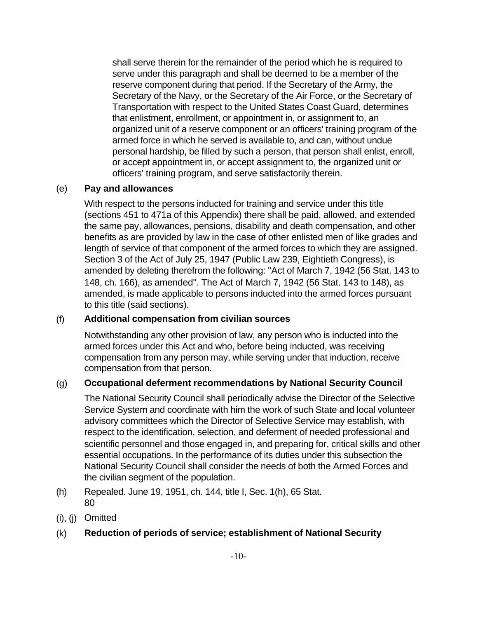shall serve therein for the remainder of the period which he is required to serve under this paragraph and shall be deemed to be a member of the reserve component during that period. If the Secretary of the Army, the Secretary of the Navy, or the Secretary of the Air Force, or the Secretary of Transportation with respect to the United States Coast Guard, determines that enlistment, enrollment, or appointment in, or assignment to, an organized unit of a reserve component or an officers' training program of the armed force in which he served is available to, and can, without undue personal hardship, be filled by such a person, that person shall enlist, enroll, or accept appointment in, or accept assignment to, the organized unit or officers' training program, and serve satisfactorily therein.

#### (e) **Pay and allowances**

With respect to the persons inducted for training and service under this title (sections 451 to 471a of this Appendix) there shall be paid, allowed, and extended the same pay, allowances, pensions, disability and death compensation, and other benefits as are provided by law in the case of other enlisted men of like grades and length of service of that component of the armed forces to which they are assigned. Section 3 of the Act of July 25, 1947 (Public Law 239, Eightieth Congress), is amended by deleting therefrom the following: ''Act of March 7, 1942 (56 Stat. 143 to 148, ch. 166), as amended''. The Act of March 7, 1942 (56 Stat. 143 to 148), as amended, is made applicable to persons inducted into the armed forces pursuant to this title (said sections).

#### (f) **Additional compensation from civilian sources**

Notwithstanding any other provision of law, any person who is inducted into the armed forces under this Act and who, before being inducted, was receiving compensation from any person may, while serving under that induction, receive compensation from that person.

## (g) **Occupational deferment recommendations by National Security Council**

The National Security Council shall periodically advise the Director of the Selective Service System and coordinate with him the work of such State and local volunteer advisory committees which the Director of Selective Service may establish, with respect to the identification, selection, and deferment of needed professional and scientific personnel and those engaged in, and preparing for, critical skills and other essential occupations. In the performance of its duties under this subsection the National Security Council shall consider the needs of both the Armed Forces and the civilian segment of the population.

- (h) Repealed. June 19, 1951, ch. 144, title I, Sec. 1(h), 65 Stat. 80
- (i), (j) Omitted

## (k) **Reduction of periods of service; establishment of National Security**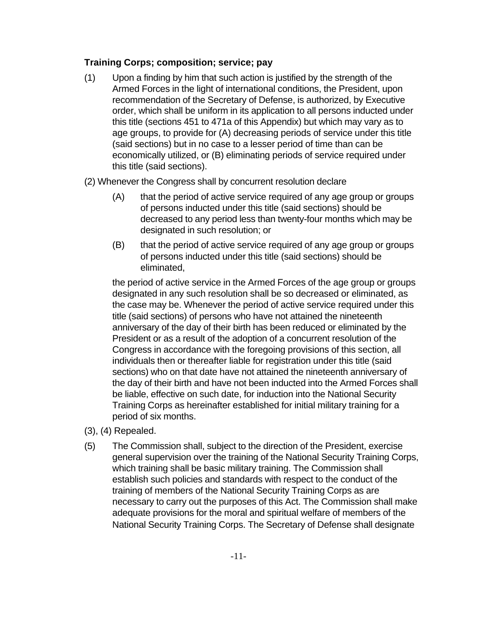#### **Training Corps; composition; service; pay**

- (1) Upon a finding by him that such action is justified by the strength of the Armed Forces in the light of international conditions, the President, upon recommendation of the Secretary of Defense, is authorized, by Executive order, which shall be uniform in its application to all persons inducted under this title (sections 451 to 471a of this Appendix) but which may vary as to age groups, to provide for (A) decreasing periods of service under this title (said sections) but in no case to a lesser period of time than can be economically utilized, or (B) eliminating periods of service required under this title (said sections).
- (2) Whenever the Congress shall by concurrent resolution declare
	- (A) that the period of active service required of any age group or groups of persons inducted under this title (said sections) should be decreased to any period less than twenty-four months which may be designated in such resolution; or
	- (B) that the period of active service required of any age group or groups of persons inducted under this title (said sections) should be eliminated,

the period of active service in the Armed Forces of the age group or groups designated in any such resolution shall be so decreased or eliminated, as the case may be. Whenever the period of active service required under this title (said sections) of persons who have not attained the nineteenth anniversary of the day of their birth has been reduced or eliminated by the President or as a result of the adoption of a concurrent resolution of the Congress in accordance with the foregoing provisions of this section, all individuals then or thereafter liable for registration under this title (said sections) who on that date have not attained the nineteenth anniversary of the day of their birth and have not been inducted into the Armed Forces shall be liable, effective on such date, for induction into the National Security Training Corps as hereinafter established for initial military training for a period of six months.

- (3), (4) Repealed.
- (5) The Commission shall, subject to the direction of the President, exercise general supervision over the training of the National Security Training Corps, which training shall be basic military training. The Commission shall establish such policies and standards with respect to the conduct of the training of members of the National Security Training Corps as are necessary to carry out the purposes of this Act. The Commission shall make adequate provisions for the moral and spiritual welfare of members of the National Security Training Corps. The Secretary of Defense shall designate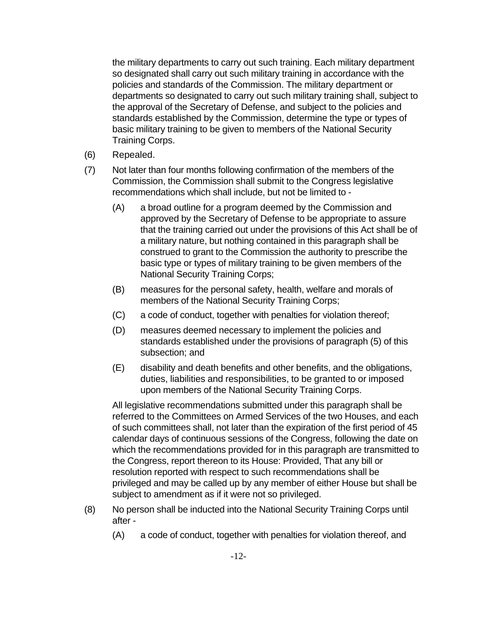the military departments to carry out such training. Each military department so designated shall carry out such military training in accordance with the policies and standards of the Commission. The military department or departments so designated to carry out such military training shall, subject to the approval of the Secretary of Defense, and subject to the policies and standards established by the Commission, determine the type or types of basic military training to be given to members of the National Security Training Corps.

- (6) Repealed.
- (7) Not later than four months following confirmation of the members of the Commission, the Commission shall submit to the Congress legislative recommendations which shall include, but not be limited to -
	- (A) a broad outline for a program deemed by the Commission and approved by the Secretary of Defense to be appropriate to assure that the training carried out under the provisions of this Act shall be of a military nature, but nothing contained in this paragraph shall be construed to grant to the Commission the authority to prescribe the basic type or types of military training to be given members of the National Security Training Corps;
	- (B) measures for the personal safety, health, welfare and morals of members of the National Security Training Corps;
	- (C) a code of conduct, together with penalties for violation thereof;
	- (D) measures deemed necessary to implement the policies and standards established under the provisions of paragraph (5) of this subsection; and
	- (E) disability and death benefits and other benefits, and the obligations, duties, liabilities and responsibilities, to be granted to or imposed upon members of the National Security Training Corps.

All legislative recommendations submitted under this paragraph shall be referred to the Committees on Armed Services of the two Houses, and each of such committees shall, not later than the expiration of the first period of 45 calendar days of continuous sessions of the Congress, following the date on which the recommendations provided for in this paragraph are transmitted to the Congress, report thereon to its House: Provided, That any bill or resolution reported with respect to such recommendations shall be privileged and may be called up by any member of either House but shall be subject to amendment as if it were not so privileged.

- (8) No person shall be inducted into the National Security Training Corps until after -
	- (A) a code of conduct, together with penalties for violation thereof, and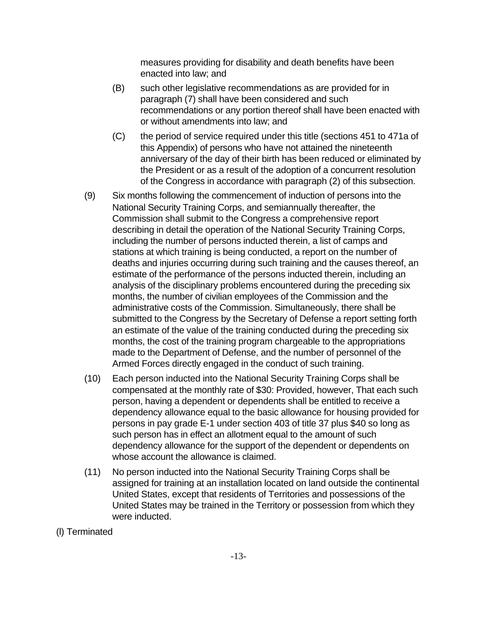measures providing for disability and death benefits have been enacted into law; and

- (B) such other legislative recommendations as are provided for in paragraph (7) shall have been considered and such recommendations or any portion thereof shall have been enacted with or without amendments into law; and
- (C) the period of service required under this title (sections 451 to 471a of this Appendix) of persons who have not attained the nineteenth anniversary of the day of their birth has been reduced or eliminated by the President or as a result of the adoption of a concurrent resolution of the Congress in accordance with paragraph (2) of this subsection.
- (9) Six months following the commencement of induction of persons into the National Security Training Corps, and semiannually thereafter, the Commission shall submit to the Congress a comprehensive report describing in detail the operation of the National Security Training Corps, including the number of persons inducted therein, a list of camps and stations at which training is being conducted, a report on the number of deaths and injuries occurring during such training and the causes thereof, an estimate of the performance of the persons inducted therein, including an analysis of the disciplinary problems encountered during the preceding six months, the number of civilian employees of the Commission and the administrative costs of the Commission. Simultaneously, there shall be submitted to the Congress by the Secretary of Defense a report setting forth an estimate of the value of the training conducted during the preceding six months, the cost of the training program chargeable to the appropriations made to the Department of Defense, and the number of personnel of the Armed Forces directly engaged in the conduct of such training.
- (10) Each person inducted into the National Security Training Corps shall be compensated at the monthly rate of \$30: Provided, however, That each such person, having a dependent or dependents shall be entitled to receive a dependency allowance equal to the basic allowance for housing provided for persons in pay grade E-1 under section 403 of title 37 plus \$40 so long as such person has in effect an allotment equal to the amount of such dependency allowance for the support of the dependent or dependents on whose account the allowance is claimed.
- (11) No person inducted into the National Security Training Corps shall be assigned for training at an installation located on land outside the continental United States, except that residents of Territories and possessions of the United States may be trained in the Territory or possession from which they were inducted.
- (l) Terminated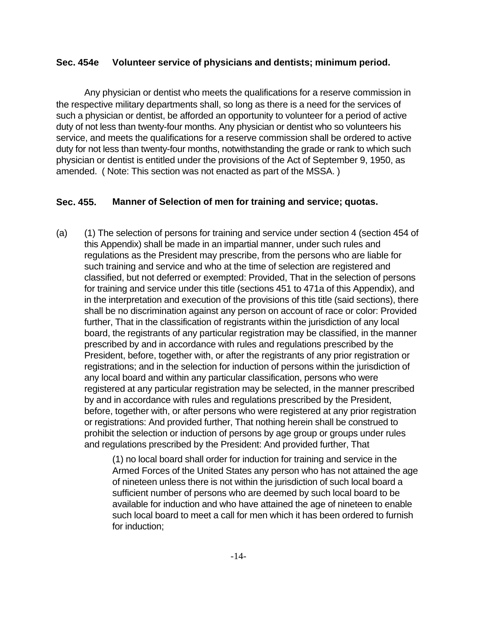#### **Sec. 454e Volunteer service of physicians and dentists; minimum period.**

Any physician or dentist who meets the qualifications for a reserve commission in the respective military departments shall, so long as there is a need for the services of such a physician or dentist, be afforded an opportunity to volunteer for a period of active duty of not less than twenty-four months. Any physician or dentist who so volunteers his service, and meets the qualifications for a reserve commission shall be ordered to active duty for not less than twenty-four months, notwithstanding the grade or rank to which such physician or dentist is entitled under the provisions of the Act of September 9, 1950, as amended. ( Note: This section was not enacted as part of the MSSA. )

#### **Sec. 455. Manner of Selection of men for training and service; quotas.**

(a) (1) The selection of persons for training and service under section 4 (section 454 of this Appendix) shall be made in an impartial manner, under such rules and regulations as the President may prescribe, from the persons who are liable for such training and service and who at the time of selection are registered and classified, but not deferred or exempted: Provided, That in the selection of persons for training and service under this title (sections 451 to 471a of this Appendix), and in the interpretation and execution of the provisions of this title (said sections), there shall be no discrimination against any person on account of race or color: Provided further, That in the classification of registrants within the jurisdiction of any local board, the registrants of any particular registration may be classified, in the manner prescribed by and in accordance with rules and regulations prescribed by the President, before, together with, or after the registrants of any prior registration or registrations; and in the selection for induction of persons within the jurisdiction of any local board and within any particular classification, persons who were registered at any particular registration may be selected, in the manner prescribed by and in accordance with rules and regulations prescribed by the President, before, together with, or after persons who were registered at any prior registration or registrations: And provided further, That nothing herein shall be construed to prohibit the selection or induction of persons by age group or groups under rules and regulations prescribed by the President: And provided further, That

> (1) no local board shall order for induction for training and service in the Armed Forces of the United States any person who has not attained the age of nineteen unless there is not within the jurisdiction of such local board a sufficient number of persons who are deemed by such local board to be available for induction and who have attained the age of nineteen to enable such local board to meet a call for men which it has been ordered to furnish for induction;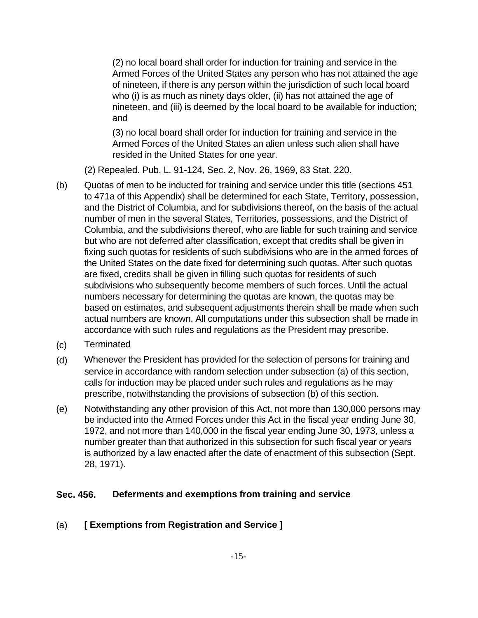(2) no local board shall order for induction for training and service in the Armed Forces of the United States any person who has not attained the age of nineteen, if there is any person within the jurisdiction of such local board who (i) is as much as ninety days older, (ii) has not attained the age of nineteen, and (iii) is deemed by the local board to be available for induction; and

(3) no local board shall order for induction for training and service in the Armed Forces of the United States an alien unless such alien shall have resided in the United States for one year.

(2) Repealed. Pub. L. 91-124, Sec. 2, Nov. 26, 1969, 83 Stat. 220.

- (b) Quotas of men to be inducted for training and service under this title (sections 451 to 471a of this Appendix) shall be determined for each State, Territory, possession, and the District of Columbia, and for subdivisions thereof, on the basis of the actual number of men in the several States, Territories, possessions, and the District of Columbia, and the subdivisions thereof, who are liable for such training and service but who are not deferred after classification, except that credits shall be given in fixing such quotas for residents of such subdivisions who are in the armed forces of the United States on the date fixed for determining such quotas. After such quotas are fixed, credits shall be given in filling such quotas for residents of such subdivisions who subsequently become members of such forces. Until the actual numbers necessary for determining the quotas are known, the quotas may be based on estimates, and subsequent adjustments therein shall be made when such actual numbers are known. All computations under this subsection shall be made in accordance with such rules and regulations as the President may prescribe.
- (c) Terminated
- (d) Whenever the President has provided for the selection of persons for training and service in accordance with random selection under subsection (a) of this section, calls for induction may be placed under such rules and regulations as he may prescribe, notwithstanding the provisions of subsection (b) of this section.
- (e) Notwithstanding any other provision of this Act, not more than 130,000 persons may be inducted into the Armed Forces under this Act in the fiscal year ending June 30, 1972, and not more than 140,000 in the fiscal year ending June 30, 1973, unless a number greater than that authorized in this subsection for such fiscal year or years is authorized by a law enacted after the date of enactment of this subsection (Sept. 28, 1971).

## **Sec. 456. Deferments and exemptions from training and service**

# (a) **[ Exemptions from Registration and Service ]**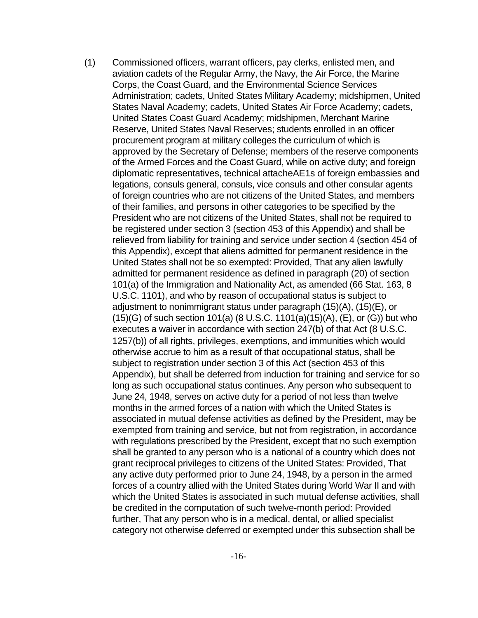(1) Commissioned officers, warrant officers, pay clerks, enlisted men, and aviation cadets of the Regular Army, the Navy, the Air Force, the Marine Corps, the Coast Guard, and the Environmental Science Services Administration; cadets, United States Military Academy; midshipmen, United States Naval Academy; cadets, United States Air Force Academy; cadets, United States Coast Guard Academy; midshipmen, Merchant Marine Reserve, United States Naval Reserves; students enrolled in an officer procurement program at military colleges the curriculum of which is approved by the Secretary of Defense; members of the reserve components of the Armed Forces and the Coast Guard, while on active duty; and foreign diplomatic representatives, technical attacheAE1s of foreign embassies and legations, consuls general, consuls, vice consuls and other consular agents of foreign countries who are not citizens of the United States, and members of their families, and persons in other categories to be specified by the President who are not citizens of the United States, shall not be required to be registered under section 3 (section 453 of this Appendix) and shall be relieved from liability for training and service under section 4 (section 454 of this Appendix), except that aliens admitted for permanent residence in the United States shall not be so exempted: Provided, That any alien lawfully admitted for permanent residence as defined in paragraph (20) of section 101(a) of the Immigration and Nationality Act, as amended (66 Stat. 163, 8 U.S.C. 1101), and who by reason of occupational status is subject to adjustment to nonimmigrant status under paragraph (15)(A), (15)(E), or  $(15)(G)$  of such section 101(a) (8 U.S.C. 1101(a)(15)(A), (E), or (G)) but who executes a waiver in accordance with section 247(b) of that Act (8 U.S.C. 1257(b)) of all rights, privileges, exemptions, and immunities which would otherwise accrue to him as a result of that occupational status, shall be subject to registration under section 3 of this Act (section 453 of this Appendix), but shall be deferred from induction for training and service for so long as such occupational status continues. Any person who subsequent to June 24, 1948, serves on active duty for a period of not less than twelve months in the armed forces of a nation with which the United States is associated in mutual defense activities as defined by the President, may be exempted from training and service, but not from registration, in accordance with regulations prescribed by the President, except that no such exemption shall be granted to any person who is a national of a country which does not grant reciprocal privileges to citizens of the United States: Provided, That any active duty performed prior to June 24, 1948, by a person in the armed forces of a country allied with the United States during World War II and with which the United States is associated in such mutual defense activities, shall be credited in the computation of such twelve-month period: Provided further, That any person who is in a medical, dental, or allied specialist category not otherwise deferred or exempted under this subsection shall be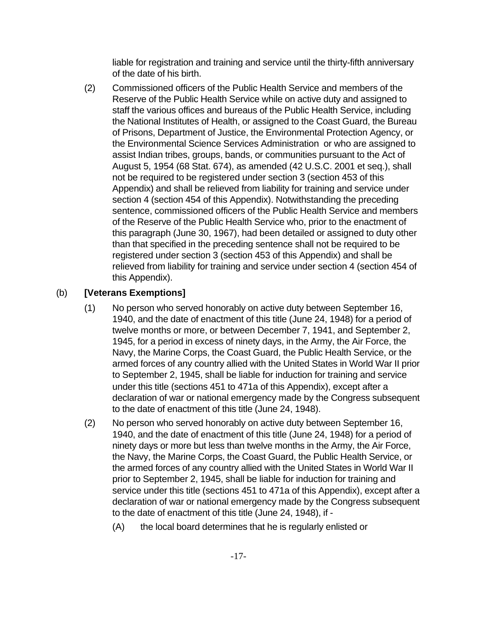liable for registration and training and service until the thirty-fifth anniversary of the date of his birth.

(2) Commissioned officers of the Public Health Service and members of the Reserve of the Public Health Service while on active duty and assigned to staff the various offices and bureaus of the Public Health Service, including the National Institutes of Health, or assigned to the Coast Guard, the Bureau of Prisons, Department of Justice, the Environmental Protection Agency, or the Environmental Science Services Administration or who are assigned to assist Indian tribes, groups, bands, or communities pursuant to the Act of August 5, 1954 (68 Stat. 674), as amended (42 U.S.C. 2001 et seq.), shall not be required to be registered under section 3 (section 453 of this Appendix) and shall be relieved from liability for training and service under section 4 (section 454 of this Appendix). Notwithstanding the preceding sentence, commissioned officers of the Public Health Service and members of the Reserve of the Public Health Service who, prior to the enactment of this paragraph (June 30, 1967), had been detailed or assigned to duty other than that specified in the preceding sentence shall not be required to be registered under section 3 (section 453 of this Appendix) and shall be relieved from liability for training and service under section 4 (section 454 of this Appendix).

## (b) **[Veterans Exemptions]**

- (1) No person who served honorably on active duty between September 16, 1940, and the date of enactment of this title (June 24, 1948) for a period of twelve months or more, or between December 7, 1941, and September 2, 1945, for a period in excess of ninety days, in the Army, the Air Force, the Navy, the Marine Corps, the Coast Guard, the Public Health Service, or the armed forces of any country allied with the United States in World War II prior to September 2, 1945, shall be liable for induction for training and service under this title (sections 451 to 471a of this Appendix), except after a declaration of war or national emergency made by the Congress subsequent to the date of enactment of this title (June 24, 1948).
- (2) No person who served honorably on active duty between September 16, 1940, and the date of enactment of this title (June 24, 1948) for a period of ninety days or more but less than twelve months in the Army, the Air Force, the Navy, the Marine Corps, the Coast Guard, the Public Health Service, or the armed forces of any country allied with the United States in World War II prior to September 2, 1945, shall be liable for induction for training and service under this title (sections 451 to 471a of this Appendix), except after a declaration of war or national emergency made by the Congress subsequent to the date of enactment of this title (June 24, 1948), if -
	- (A) the local board determines that he is regularly enlisted or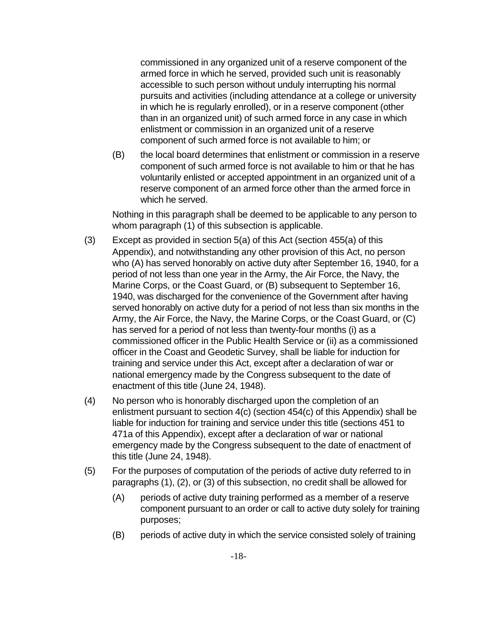commissioned in any organized unit of a reserve component of the armed force in which he served, provided such unit is reasonably accessible to such person without unduly interrupting his normal pursuits and activities (including attendance at a college or university in which he is regularly enrolled), or in a reserve component (other than in an organized unit) of such armed force in any case in which enlistment or commission in an organized unit of a reserve component of such armed force is not available to him; or

(B) the local board determines that enlistment or commission in a reserve component of such armed force is not available to him or that he has voluntarily enlisted or accepted appointment in an organized unit of a reserve component of an armed force other than the armed force in which he served.

Nothing in this paragraph shall be deemed to be applicable to any person to whom paragraph (1) of this subsection is applicable.

- (3) Except as provided in section 5(a) of this Act (section 455(a) of this Appendix), and notwithstanding any other provision of this Act, no person who (A) has served honorably on active duty after September 16, 1940, for a period of not less than one year in the Army, the Air Force, the Navy, the Marine Corps, or the Coast Guard, or (B) subsequent to September 16, 1940, was discharged for the convenience of the Government after having served honorably on active duty for a period of not less than six months in the Army, the Air Force, the Navy, the Marine Corps, or the Coast Guard, or (C) has served for a period of not less than twenty-four months (i) as a commissioned officer in the Public Health Service or (ii) as a commissioned officer in the Coast and Geodetic Survey, shall be liable for induction for training and service under this Act, except after a declaration of war or national emergency made by the Congress subsequent to the date of enactment of this title (June 24, 1948).
- (4) No person who is honorably discharged upon the completion of an enlistment pursuant to section 4(c) (section 454(c) of this Appendix) shall be liable for induction for training and service under this title (sections 451 to 471a of this Appendix), except after a declaration of war or national emergency made by the Congress subsequent to the date of enactment of this title (June 24, 1948).
- (5) For the purposes of computation of the periods of active duty referred to in paragraphs (1), (2), or (3) of this subsection, no credit shall be allowed for
	- (A) periods of active duty training performed as a member of a reserve component pursuant to an order or call to active duty solely for training purposes;
	- (B) periods of active duty in which the service consisted solely of training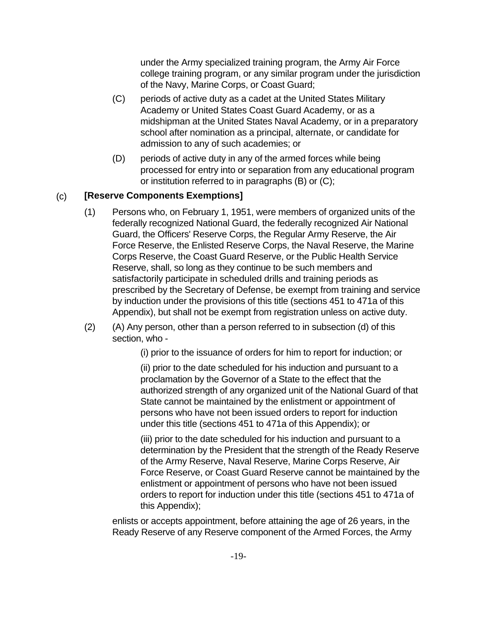under the Army specialized training program, the Army Air Force college training program, or any similar program under the jurisdiction of the Navy, Marine Corps, or Coast Guard;

- (C) periods of active duty as a cadet at the United States Military Academy or United States Coast Guard Academy, or as a midshipman at the United States Naval Academy, or in a preparatory school after nomination as a principal, alternate, or candidate for admission to any of such academies; or
- (D) periods of active duty in any of the armed forces while being processed for entry into or separation from any educational program or institution referred to in paragraphs (B) or (C);

# (c) **[Reserve Components Exemptions]**

- (1) Persons who, on February 1, 1951, were members of organized units of the federally recognized National Guard, the federally recognized Air National Guard, the Officers' Reserve Corps, the Regular Army Reserve, the Air Force Reserve, the Enlisted Reserve Corps, the Naval Reserve, the Marine Corps Reserve, the Coast Guard Reserve, or the Public Health Service Reserve, shall, so long as they continue to be such members and satisfactorily participate in scheduled drills and training periods as prescribed by the Secretary of Defense, be exempt from training and service by induction under the provisions of this title (sections 451 to 471a of this Appendix), but shall not be exempt from registration unless on active duty.
- (2) (A) Any person, other than a person referred to in subsection (d) of this section, who -

(i) prior to the issuance of orders for him to report for induction; or

(ii) prior to the date scheduled for his induction and pursuant to a proclamation by the Governor of a State to the effect that the authorized strength of any organized unit of the National Guard of that State cannot be maintained by the enlistment or appointment of persons who have not been issued orders to report for induction under this title (sections 451 to 471a of this Appendix); or

(iii) prior to the date scheduled for his induction and pursuant to a determination by the President that the strength of the Ready Reserve of the Army Reserve, Naval Reserve, Marine Corps Reserve, Air Force Reserve, or Coast Guard Reserve cannot be maintained by the enlistment or appointment of persons who have not been issued orders to report for induction under this title (sections 451 to 471a of this Appendix);

enlists or accepts appointment, before attaining the age of 26 years, in the Ready Reserve of any Reserve component of the Armed Forces, the Army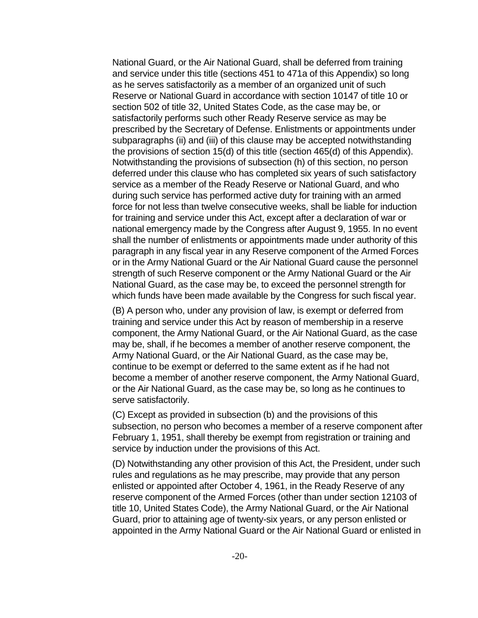National Guard, or the Air National Guard, shall be deferred from training and service under this title (sections 451 to 471a of this Appendix) so long as he serves satisfactorily as a member of an organized unit of such Reserve or National Guard in accordance with section 10147 of title 10 or section 502 of title 32, United States Code, as the case may be, or satisfactorily performs such other Ready Reserve service as may be prescribed by the Secretary of Defense. Enlistments or appointments under subparagraphs (ii) and (iii) of this clause may be accepted notwithstanding the provisions of section 15(d) of this title (section 465(d) of this Appendix). Notwithstanding the provisions of subsection (h) of this section, no person deferred under this clause who has completed six years of such satisfactory service as a member of the Ready Reserve or National Guard, and who during such service has performed active duty for training with an armed force for not less than twelve consecutive weeks, shall be liable for induction for training and service under this Act, except after a declaration of war or national emergency made by the Congress after August 9, 1955. In no event shall the number of enlistments or appointments made under authority of this paragraph in any fiscal year in any Reserve component of the Armed Forces or in the Army National Guard or the Air National Guard cause the personnel strength of such Reserve component or the Army National Guard or the Air National Guard, as the case may be, to exceed the personnel strength for which funds have been made available by the Congress for such fiscal year.

(B) A person who, under any provision of law, is exempt or deferred from training and service under this Act by reason of membership in a reserve component, the Army National Guard, or the Air National Guard, as the case may be, shall, if he becomes a member of another reserve component, the Army National Guard, or the Air National Guard, as the case may be, continue to be exempt or deferred to the same extent as if he had not become a member of another reserve component, the Army National Guard, or the Air National Guard, as the case may be, so long as he continues to serve satisfactorily.

(C) Except as provided in subsection (b) and the provisions of this subsection, no person who becomes a member of a reserve component after February 1, 1951, shall thereby be exempt from registration or training and service by induction under the provisions of this Act.

(D) Notwithstanding any other provision of this Act, the President, under such rules and regulations as he may prescribe, may provide that any person enlisted or appointed after October 4, 1961, in the Ready Reserve of any reserve component of the Armed Forces (other than under section 12103 of title 10, United States Code), the Army National Guard, or the Air National Guard, prior to attaining age of twenty-six years, or any person enlisted or appointed in the Army National Guard or the Air National Guard or enlisted in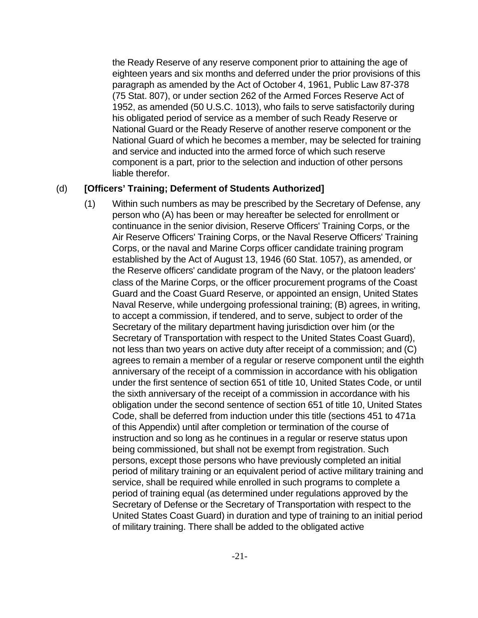the Ready Reserve of any reserve component prior to attaining the age of eighteen years and six months and deferred under the prior provisions of this paragraph as amended by the Act of October 4, 1961, Public Law 87-378 (75 Stat. 807), or under section 262 of the Armed Forces Reserve Act of 1952, as amended (50 U.S.C. 1013), who fails to serve satisfactorily during his obligated period of service as a member of such Ready Reserve or National Guard or the Ready Reserve of another reserve component or the National Guard of which he becomes a member, may be selected for training and service and inducted into the armed force of which such reserve component is a part, prior to the selection and induction of other persons liable therefor.

#### (d) **[Officers' Training; Deferment of Students Authorized]**

(1) Within such numbers as may be prescribed by the Secretary of Defense, any person who (A) has been or may hereafter be selected for enrollment or continuance in the senior division, Reserve Officers' Training Corps, or the Air Reserve Officers' Training Corps, or the Naval Reserve Officers' Training Corps, or the naval and Marine Corps officer candidate training program established by the Act of August 13, 1946 (60 Stat. 1057), as amended, or the Reserve officers' candidate program of the Navy, or the platoon leaders' class of the Marine Corps, or the officer procurement programs of the Coast Guard and the Coast Guard Reserve, or appointed an ensign, United States Naval Reserve, while undergoing professional training; (B) agrees, in writing, to accept a commission, if tendered, and to serve, subject to order of the Secretary of the military department having jurisdiction over him (or the Secretary of Transportation with respect to the United States Coast Guard), not less than two years on active duty after receipt of a commission; and (C) agrees to remain a member of a regular or reserve component until the eighth anniversary of the receipt of a commission in accordance with his obligation under the first sentence of section 651 of title 10, United States Code, or until the sixth anniversary of the receipt of a commission in accordance with his obligation under the second sentence of section 651 of title 10, United States Code, shall be deferred from induction under this title (sections 451 to 471a of this Appendix) until after completion or termination of the course of instruction and so long as he continues in a regular or reserve status upon being commissioned, but shall not be exempt from registration. Such persons, except those persons who have previously completed an initial period of military training or an equivalent period of active military training and service, shall be required while enrolled in such programs to complete a period of training equal (as determined under regulations approved by the Secretary of Defense or the Secretary of Transportation with respect to the United States Coast Guard) in duration and type of training to an initial period of military training. There shall be added to the obligated active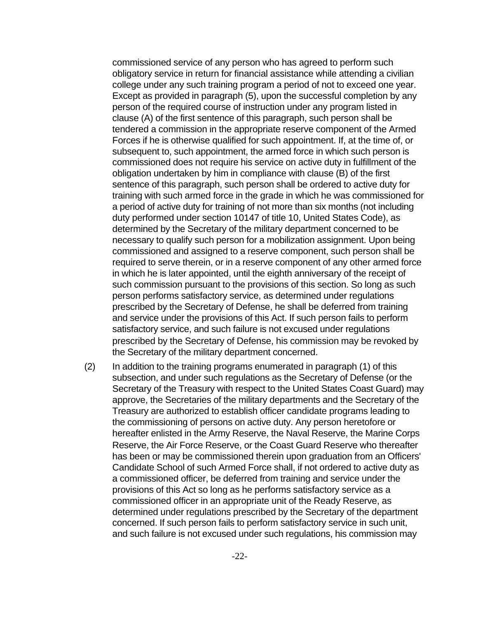commissioned service of any person who has agreed to perform such obligatory service in return for financial assistance while attending a civilian college under any such training program a period of not to exceed one year. Except as provided in paragraph (5), upon the successful completion by any person of the required course of instruction under any program listed in clause (A) of the first sentence of this paragraph, such person shall be tendered a commission in the appropriate reserve component of the Armed Forces if he is otherwise qualified for such appointment. If, at the time of, or subsequent to, such appointment, the armed force in which such person is commissioned does not require his service on active duty in fulfillment of the obligation undertaken by him in compliance with clause (B) of the first sentence of this paragraph, such person shall be ordered to active duty for training with such armed force in the grade in which he was commissioned for a period of active duty for training of not more than six months (not including duty performed under section 10147 of title 10, United States Code), as determined by the Secretary of the military department concerned to be necessary to qualify such person for a mobilization assignment. Upon being commissioned and assigned to a reserve component, such person shall be required to serve therein, or in a reserve component of any other armed force in which he is later appointed, until the eighth anniversary of the receipt of such commission pursuant to the provisions of this section. So long as such person performs satisfactory service, as determined under regulations prescribed by the Secretary of Defense, he shall be deferred from training and service under the provisions of this Act. If such person fails to perform satisfactory service, and such failure is not excused under regulations prescribed by the Secretary of Defense, his commission may be revoked by the Secretary of the military department concerned.

(2) In addition to the training programs enumerated in paragraph (1) of this subsection, and under such regulations as the Secretary of Defense (or the Secretary of the Treasury with respect to the United States Coast Guard) may approve, the Secretaries of the military departments and the Secretary of the Treasury are authorized to establish officer candidate programs leading to the commissioning of persons on active duty. Any person heretofore or hereafter enlisted in the Army Reserve, the Naval Reserve, the Marine Corps Reserve, the Air Force Reserve, or the Coast Guard Reserve who thereafter has been or may be commissioned therein upon graduation from an Officers' Candidate School of such Armed Force shall, if not ordered to active duty as a commissioned officer, be deferred from training and service under the provisions of this Act so long as he performs satisfactory service as a commissioned officer in an appropriate unit of the Ready Reserve, as determined under regulations prescribed by the Secretary of the department concerned. If such person fails to perform satisfactory service in such unit, and such failure is not excused under such regulations, his commission may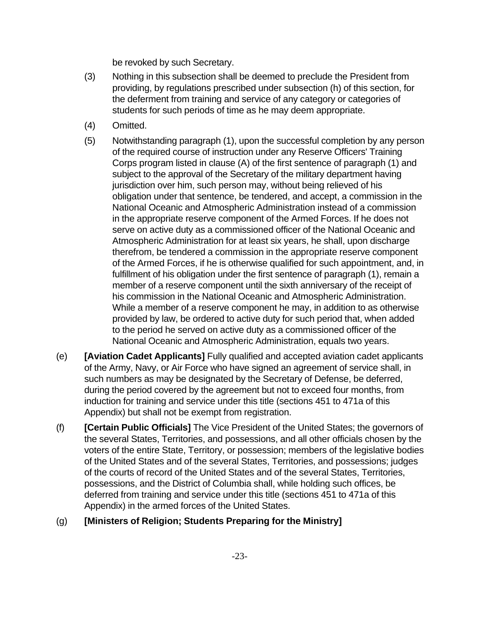be revoked by such Secretary.

- (3) Nothing in this subsection shall be deemed to preclude the President from providing, by regulations prescribed under subsection (h) of this section, for the deferment from training and service of any category or categories of students for such periods of time as he may deem appropriate.
- (4) Omitted.
- (5) Notwithstanding paragraph (1), upon the successful completion by any person of the required course of instruction under any Reserve Officers' Training Corps program listed in clause (A) of the first sentence of paragraph (1) and subject to the approval of the Secretary of the military department having jurisdiction over him, such person may, without being relieved of his obligation under that sentence, be tendered, and accept, a commission in the National Oceanic and Atmospheric Administration instead of a commission in the appropriate reserve component of the Armed Forces. If he does not serve on active duty as a commissioned officer of the National Oceanic and Atmospheric Administration for at least six years, he shall, upon discharge therefrom, be tendered a commission in the appropriate reserve component of the Armed Forces, if he is otherwise qualified for such appointment, and, in fulfillment of his obligation under the first sentence of paragraph (1), remain a member of a reserve component until the sixth anniversary of the receipt of his commission in the National Oceanic and Atmospheric Administration. While a member of a reserve component he may, in addition to as otherwise provided by law, be ordered to active duty for such period that, when added to the period he served on active duty as a commissioned officer of the National Oceanic and Atmospheric Administration, equals two years.
- (e) **[Aviation Cadet Applicants]** Fully qualified and accepted aviation cadet applicants of the Army, Navy, or Air Force who have signed an agreement of service shall, in such numbers as may be designated by the Secretary of Defense, be deferred, during the period covered by the agreement but not to exceed four months, from induction for training and service under this title (sections 451 to 471a of this Appendix) but shall not be exempt from registration.
- (f) **[Certain Public Officials]** The Vice President of the United States; the governors of the several States, Territories, and possessions, and all other officials chosen by the voters of the entire State, Territory, or possession; members of the legislative bodies of the United States and of the several States, Territories, and possessions; judges of the courts of record of the United States and of the several States, Territories, possessions, and the District of Columbia shall, while holding such offices, be deferred from training and service under this title (sections 451 to 471a of this Appendix) in the armed forces of the United States.

# (g) **[Ministers of Religion; Students Preparing for the Ministry]**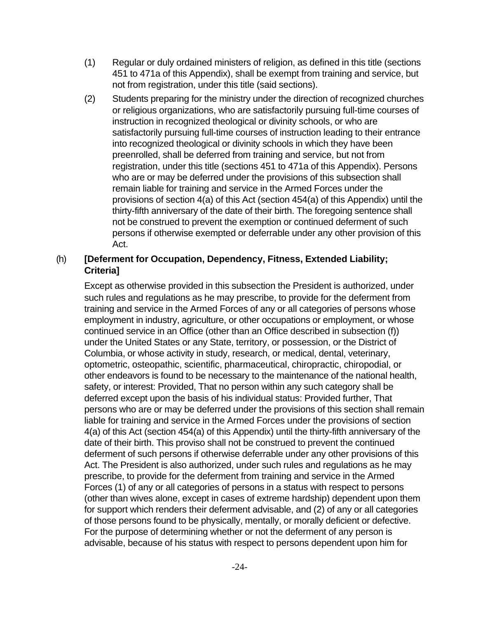- (1) Regular or duly ordained ministers of religion, as defined in this title (sections 451 to 471a of this Appendix), shall be exempt from training and service, but not from registration, under this title (said sections).
- (2) Students preparing for the ministry under the direction of recognized churches or religious organizations, who are satisfactorily pursuing full-time courses of instruction in recognized theological or divinity schools, or who are satisfactorily pursuing full-time courses of instruction leading to their entrance into recognized theological or divinity schools in which they have been preenrolled, shall be deferred from training and service, but not from registration, under this title (sections 451 to 471a of this Appendix). Persons who are or may be deferred under the provisions of this subsection shall remain liable for training and service in the Armed Forces under the provisions of section 4(a) of this Act (section 454(a) of this Appendix) until the thirty-fifth anniversary of the date of their birth. The foregoing sentence shall not be construed to prevent the exemption or continued deferment of such persons if otherwise exempted or deferrable under any other provision of this Act.

## (h) **[Deferment for Occupation, Dependency, Fitness, Extended Liability; Criteria]**

Except as otherwise provided in this subsection the President is authorized, under such rules and regulations as he may prescribe, to provide for the deferment from training and service in the Armed Forces of any or all categories of persons whose employment in industry, agriculture, or other occupations or employment, or whose continued service in an Office (other than an Office described in subsection (f)) under the United States or any State, territory, or possession, or the District of Columbia, or whose activity in study, research, or medical, dental, veterinary, optometric, osteopathic, scientific, pharmaceutical, chiropractic, chiropodial, or other endeavors is found to be necessary to the maintenance of the national health, safety, or interest: Provided, That no person within any such category shall be deferred except upon the basis of his individual status: Provided further, That persons who are or may be deferred under the provisions of this section shall remain liable for training and service in the Armed Forces under the provisions of section 4(a) of this Act (section 454(a) of this Appendix) until the thirty-fifth anniversary of the date of their birth. This proviso shall not be construed to prevent the continued deferment of such persons if otherwise deferrable under any other provisions of this Act. The President is also authorized, under such rules and regulations as he may prescribe, to provide for the deferment from training and service in the Armed Forces (1) of any or all categories of persons in a status with respect to persons (other than wives alone, except in cases of extreme hardship) dependent upon them for support which renders their deferment advisable, and (2) of any or all categories of those persons found to be physically, mentally, or morally deficient or defective. For the purpose of determining whether or not the deferment of any person is advisable, because of his status with respect to persons dependent upon him for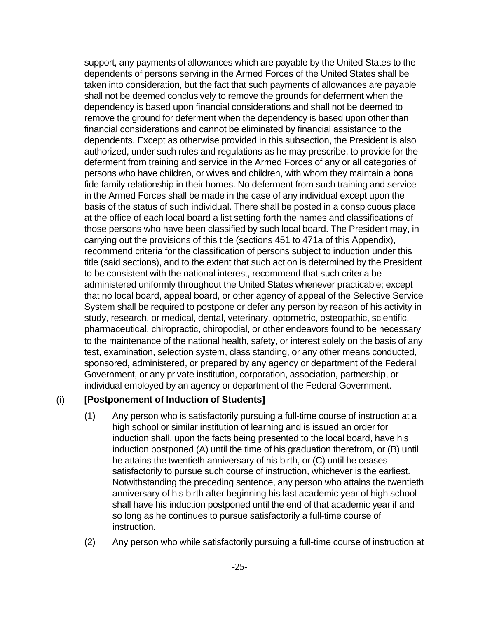support, any payments of allowances which are payable by the United States to the dependents of persons serving in the Armed Forces of the United States shall be taken into consideration, but the fact that such payments of allowances are payable shall not be deemed conclusively to remove the grounds for deferment when the dependency is based upon financial considerations and shall not be deemed to remove the ground for deferment when the dependency is based upon other than financial considerations and cannot be eliminated by financial assistance to the dependents. Except as otherwise provided in this subsection, the President is also authorized, under such rules and regulations as he may prescribe, to provide for the deferment from training and service in the Armed Forces of any or all categories of persons who have children, or wives and children, with whom they maintain a bona fide family relationship in their homes. No deferment from such training and service in the Armed Forces shall be made in the case of any individual except upon the basis of the status of such individual. There shall be posted in a conspicuous place at the office of each local board a list setting forth the names and classifications of those persons who have been classified by such local board. The President may, in carrying out the provisions of this title (sections 451 to 471a of this Appendix), recommend criteria for the classification of persons subject to induction under this title (said sections), and to the extent that such action is determined by the President to be consistent with the national interest, recommend that such criteria be administered uniformly throughout the United States whenever practicable; except that no local board, appeal board, or other agency of appeal of the Selective Service System shall be required to postpone or defer any person by reason of his activity in study, research, or medical, dental, veterinary, optometric, osteopathic, scientific, pharmaceutical, chiropractic, chiropodial, or other endeavors found to be necessary to the maintenance of the national health, safety, or interest solely on the basis of any test, examination, selection system, class standing, or any other means conducted, sponsored, administered, or prepared by any agency or department of the Federal Government, or any private institution, corporation, association, partnership, or individual employed by an agency or department of the Federal Government.

#### (i) **[Postponement of Induction of Students]**

- (1) Any person who is satisfactorily pursuing a full-time course of instruction at a high school or similar institution of learning and is issued an order for induction shall, upon the facts being presented to the local board, have his induction postponed (A) until the time of his graduation therefrom, or (B) until he attains the twentieth anniversary of his birth, or (C) until he ceases satisfactorily to pursue such course of instruction, whichever is the earliest. Notwithstanding the preceding sentence, any person who attains the twentieth anniversary of his birth after beginning his last academic year of high school shall have his induction postponed until the end of that academic year if and so long as he continues to pursue satisfactorily a full-time course of instruction.
- (2) Any person who while satisfactorily pursuing a full-time course of instruction at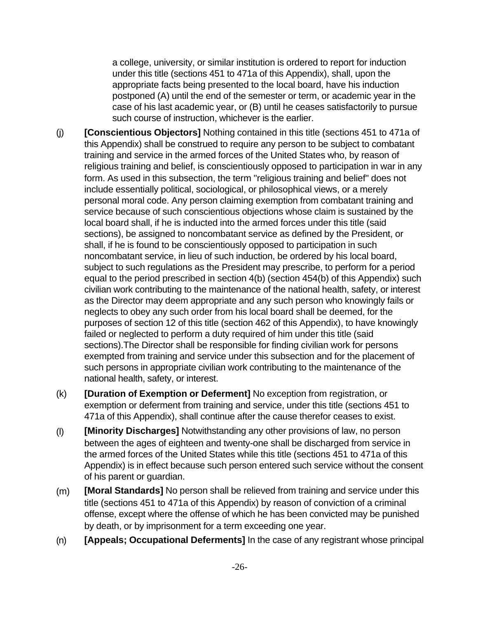a college, university, or similar institution is ordered to report for induction under this title (sections 451 to 471a of this Appendix), shall, upon the appropriate facts being presented to the local board, have his induction postponed (A) until the end of the semester or term, or academic year in the case of his last academic year, or (B) until he ceases satisfactorily to pursue such course of instruction, whichever is the earlier.

- (j) **[Conscientious Objectors]** Nothing contained in this title (sections 451 to 471a of this Appendix) shall be construed to require any person to be subject to combatant training and service in the armed forces of the United States who, by reason of religious training and belief, is conscientiously opposed to participation in war in any form. As used in this subsection, the term ''religious training and belief'' does not include essentially political, sociological, or philosophical views, or a merely personal moral code. Any person claiming exemption from combatant training and service because of such conscientious objections whose claim is sustained by the local board shall, if he is inducted into the armed forces under this title (said sections), be assigned to noncombatant service as defined by the President, or shall, if he is found to be conscientiously opposed to participation in such noncombatant service, in lieu of such induction, be ordered by his local board, subject to such regulations as the President may prescribe, to perform for a period equal to the period prescribed in section 4(b) (section 454(b) of this Appendix) such civilian work contributing to the maintenance of the national health, safety, or interest as the Director may deem appropriate and any such person who knowingly fails or neglects to obey any such order from his local board shall be deemed, for the purposes of section 12 of this title (section 462 of this Appendix), to have knowingly failed or neglected to perform a duty required of him under this title (said sections).The Director shall be responsible for finding civilian work for persons exempted from training and service under this subsection and for the placement of such persons in appropriate civilian work contributing to the maintenance of the national health, safety, or interest.
- (k) **[Duration of Exemption or Deferment]** No exception from registration, or exemption or deferment from training and service, under this title (sections 451 to 471a of this Appendix), shall continue after the cause therefor ceases to exist.
- (l) **[Minority Discharges]** Notwithstanding any other provisions of law, no person between the ages of eighteen and twenty-one shall be discharged from service in the armed forces of the United States while this title (sections 451 to 471a of this Appendix) is in effect because such person entered such service without the consent of his parent or guardian.
- (m) **[Moral Standards]** No person shall be relieved from training and service under this title (sections 451 to 471a of this Appendix) by reason of conviction of a criminal offense, except where the offense of which he has been convicted may be punished by death, or by imprisonment for a term exceeding one year.
- (n) **[Appeals; Occupational Deferments]** In the case of any registrant whose principal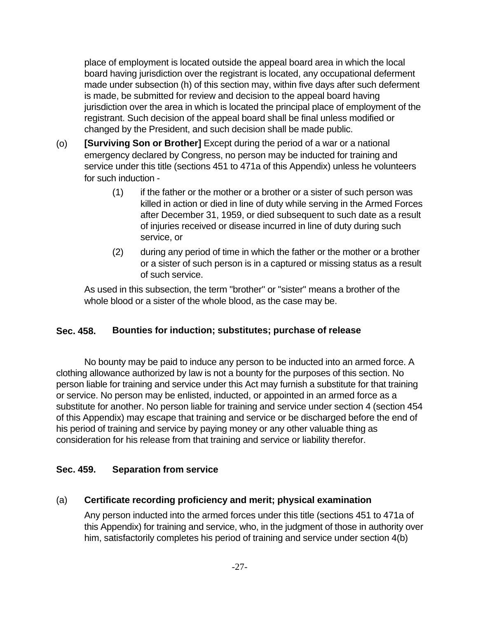place of employment is located outside the appeal board area in which the local board having jurisdiction over the registrant is located, any occupational deferment made under subsection (h) of this section may, within five days after such deferment is made, be submitted for review and decision to the appeal board having jurisdiction over the area in which is located the principal place of employment of the registrant. Such decision of the appeal board shall be final unless modified or changed by the President, and such decision shall be made public.

- (o) **[Surviving Son or Brother]** Except during the period of a war or a national emergency declared by Congress, no person may be inducted for training and service under this title (sections 451 to 471a of this Appendix) unless he volunteers for such induction -
	- (1) if the father or the mother or a brother or a sister of such person was killed in action or died in line of duty while serving in the Armed Forces after December 31, 1959, or died subsequent to such date as a result of injuries received or disease incurred in line of duty during such service, or
	- (2) during any period of time in which the father or the mother or a brother or a sister of such person is in a captured or missing status as a result of such service.

As used in this subsection, the term ''brother'' or ''sister'' means a brother of the whole blood or a sister of the whole blood, as the case may be.

## **Sec. 458. Bounties for induction; substitutes; purchase of release**

No bounty may be paid to induce any person to be inducted into an armed force. A clothing allowance authorized by law is not a bounty for the purposes of this section. No person liable for training and service under this Act may furnish a substitute for that training or service. No person may be enlisted, inducted, or appointed in an armed force as a substitute for another. No person liable for training and service under section 4 (section 454 of this Appendix) may escape that training and service or be discharged before the end of his period of training and service by paying money or any other valuable thing as consideration for his release from that training and service or liability therefor.

#### **Sec. 459. Separation from service**

#### (a) **Certificate recording proficiency and merit; physical examination**

Any person inducted into the armed forces under this title (sections 451 to 471a of this Appendix) for training and service, who, in the judgment of those in authority over him, satisfactorily completes his period of training and service under section 4(b)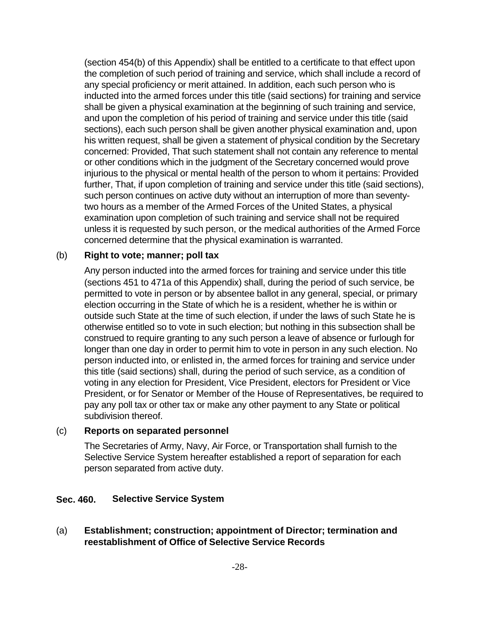(section 454(b) of this Appendix) shall be entitled to a certificate to that effect upon the completion of such period of training and service, which shall include a record of any special proficiency or merit attained. In addition, each such person who is inducted into the armed forces under this title (said sections) for training and service shall be given a physical examination at the beginning of such training and service, and upon the completion of his period of training and service under this title (said sections), each such person shall be given another physical examination and, upon his written request, shall be given a statement of physical condition by the Secretary concerned: Provided, That such statement shall not contain any reference to mental or other conditions which in the judgment of the Secretary concerned would prove injurious to the physical or mental health of the person to whom it pertains: Provided further, That, if upon completion of training and service under this title (said sections), such person continues on active duty without an interruption of more than seventytwo hours as a member of the Armed Forces of the United States, a physical examination upon completion of such training and service shall not be required unless it is requested by such person, or the medical authorities of the Armed Force concerned determine that the physical examination is warranted.

#### (b) **Right to vote; manner; poll tax**

Any person inducted into the armed forces for training and service under this title (sections 451 to 471a of this Appendix) shall, during the period of such service, be permitted to vote in person or by absentee ballot in any general, special, or primary election occurring in the State of which he is a resident, whether he is within or outside such State at the time of such election, if under the laws of such State he is otherwise entitled so to vote in such election; but nothing in this subsection shall be construed to require granting to any such person a leave of absence or furlough for longer than one day in order to permit him to vote in person in any such election. No person inducted into, or enlisted in, the armed forces for training and service under this title (said sections) shall, during the period of such service, as a condition of voting in any election for President, Vice President, electors for President or Vice President, or for Senator or Member of the House of Representatives, be required to pay any poll tax or other tax or make any other payment to any State or political subdivision thereof.

#### (c) **Reports on separated personnel**

The Secretaries of Army, Navy, Air Force, or Transportation shall furnish to the Selective Service System hereafter established a report of separation for each person separated from active duty.

#### **Sec. 460. Selective Service System**

#### (a) **Establishment; construction; appointment of Director; termination and reestablishment of Office of Selective Service Records**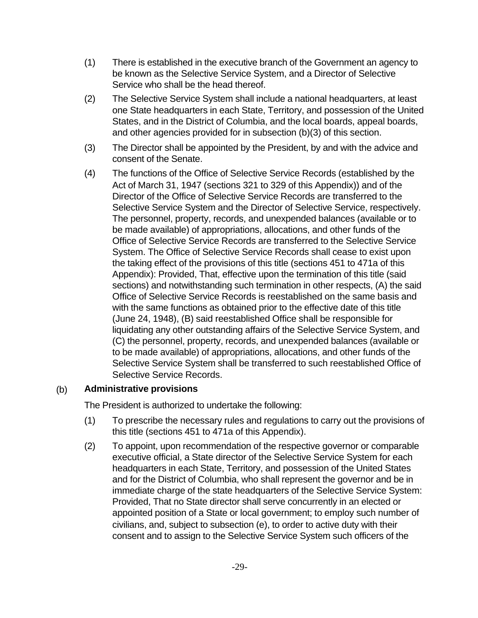- (1) There is established in the executive branch of the Government an agency to be known as the Selective Service System, and a Director of Selective Service who shall be the head thereof.
- (2) The Selective Service System shall include a national headquarters, at least one State headquarters in each State, Territory, and possession of the United States, and in the District of Columbia, and the local boards, appeal boards, and other agencies provided for in subsection (b)(3) of this section.
- (3) The Director shall be appointed by the President, by and with the advice and consent of the Senate.
- (4) The functions of the Office of Selective Service Records (established by the Act of March 31, 1947 (sections 321 to 329 of this Appendix)) and of the Director of the Office of Selective Service Records are transferred to the Selective Service System and the Director of Selective Service, respectively. The personnel, property, records, and unexpended balances (available or to be made available) of appropriations, allocations, and other funds of the Office of Selective Service Records are transferred to the Selective Service System. The Office of Selective Service Records shall cease to exist upon the taking effect of the provisions of this title (sections 451 to 471a of this Appendix): Provided, That, effective upon the termination of this title (said sections) and notwithstanding such termination in other respects, (A) the said Office of Selective Service Records is reestablished on the same basis and with the same functions as obtained prior to the effective date of this title (June 24, 1948), (B) said reestablished Office shall be responsible for liquidating any other outstanding affairs of the Selective Service System, and (C) the personnel, property, records, and unexpended balances (available or to be made available) of appropriations, allocations, and other funds of the Selective Service System shall be transferred to such reestablished Office of Selective Service Records.

## (b) **Administrative provisions**

The President is authorized to undertake the following:

- (1) To prescribe the necessary rules and regulations to carry out the provisions of this title (sections 451 to 471a of this Appendix).
- (2) To appoint, upon recommendation of the respective governor or comparable executive official, a State director of the Selective Service System for each headquarters in each State, Territory, and possession of the United States and for the District of Columbia, who shall represent the governor and be in immediate charge of the state headquarters of the Selective Service System: Provided, That no State director shall serve concurrently in an elected or appointed position of a State or local government; to employ such number of civilians, and, subject to subsection (e), to order to active duty with their consent and to assign to the Selective Service System such officers of the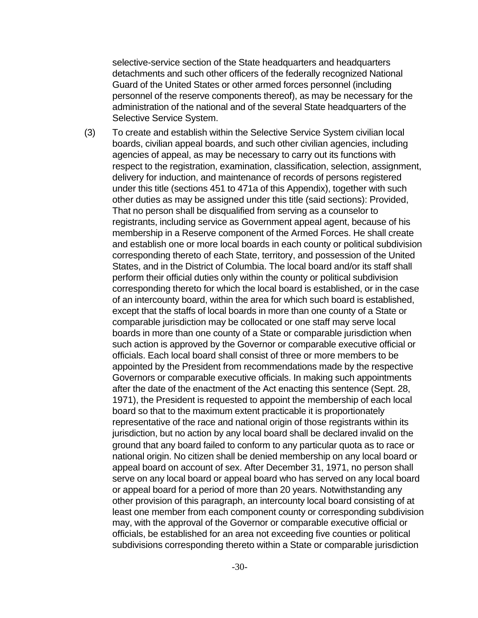selective-service section of the State headquarters and headquarters detachments and such other officers of the federally recognized National Guard of the United States or other armed forces personnel (including personnel of the reserve components thereof), as may be necessary for the administration of the national and of the several State headquarters of the Selective Service System.

(3) To create and establish within the Selective Service System civilian local boards, civilian appeal boards, and such other civilian agencies, including agencies of appeal, as may be necessary to carry out its functions with respect to the registration, examination, classification, selection, assignment, delivery for induction, and maintenance of records of persons registered under this title (sections 451 to 471a of this Appendix), together with such other duties as may be assigned under this title (said sections): Provided, That no person shall be disqualified from serving as a counselor to registrants, including service as Government appeal agent, because of his membership in a Reserve component of the Armed Forces. He shall create and establish one or more local boards in each county or political subdivision corresponding thereto of each State, territory, and possession of the United States, and in the District of Columbia. The local board and/or its staff shall perform their official duties only within the county or political subdivision corresponding thereto for which the local board is established, or in the case of an intercounty board, within the area for which such board is established, except that the staffs of local boards in more than one county of a State or comparable jurisdiction may be collocated or one staff may serve local boards in more than one county of a State or comparable jurisdiction when such action is approved by the Governor or comparable executive official or officials. Each local board shall consist of three or more members to be appointed by the President from recommendations made by the respective Governors or comparable executive officials. In making such appointments after the date of the enactment of the Act enacting this sentence (Sept. 28, 1971), the President is requested to appoint the membership of each local board so that to the maximum extent practicable it is proportionately representative of the race and national origin of those registrants within its jurisdiction, but no action by any local board shall be declared invalid on the ground that any board failed to conform to any particular quota as to race or national origin. No citizen shall be denied membership on any local board or appeal board on account of sex. After December 31, 1971, no person shall serve on any local board or appeal board who has served on any local board or appeal board for a period of more than 20 years. Notwithstanding any other provision of this paragraph, an intercounty local board consisting of at least one member from each component county or corresponding subdivision may, with the approval of the Governor or comparable executive official or officials, be established for an area not exceeding five counties or political subdivisions corresponding thereto within a State or comparable jurisdiction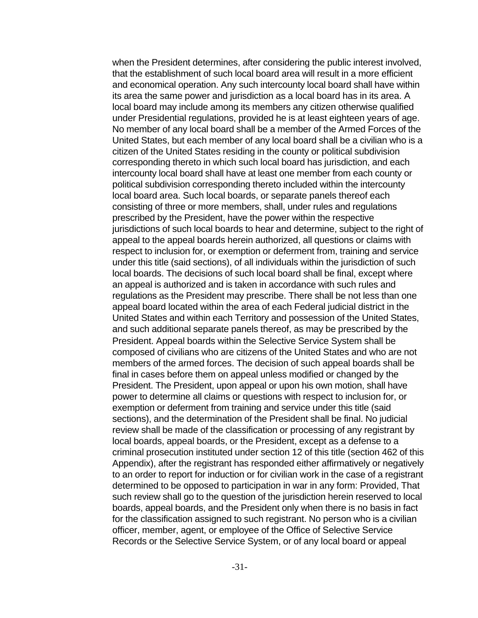when the President determines, after considering the public interest involved, that the establishment of such local board area will result in a more efficient and economical operation. Any such intercounty local board shall have within its area the same power and jurisdiction as a local board has in its area. A local board may include among its members any citizen otherwise qualified under Presidential regulations, provided he is at least eighteen years of age. No member of any local board shall be a member of the Armed Forces of the United States, but each member of any local board shall be a civilian who is a citizen of the United States residing in the county or political subdivision corresponding thereto in which such local board has jurisdiction, and each intercounty local board shall have at least one member from each county or political subdivision corresponding thereto included within the intercounty local board area. Such local boards, or separate panels thereof each consisting of three or more members, shall, under rules and regulations prescribed by the President, have the power within the respective jurisdictions of such local boards to hear and determine, subject to the right of appeal to the appeal boards herein authorized, all questions or claims with respect to inclusion for, or exemption or deferment from, training and service under this title (said sections), of all individuals within the jurisdiction of such local boards. The decisions of such local board shall be final, except where an appeal is authorized and is taken in accordance with such rules and regulations as the President may prescribe. There shall be not less than one appeal board located within the area of each Federal judicial district in the United States and within each Territory and possession of the United States, and such additional separate panels thereof, as may be prescribed by the President. Appeal boards within the Selective Service System shall be composed of civilians who are citizens of the United States and who are not members of the armed forces. The decision of such appeal boards shall be final in cases before them on appeal unless modified or changed by the President. The President, upon appeal or upon his own motion, shall have power to determine all claims or questions with respect to inclusion for, or exemption or deferment from training and service under this title (said sections), and the determination of the President shall be final. No judicial review shall be made of the classification or processing of any registrant by local boards, appeal boards, or the President, except as a defense to a criminal prosecution instituted under section 12 of this title (section 462 of this Appendix), after the registrant has responded either affirmatively or negatively to an order to report for induction or for civilian work in the case of a registrant determined to be opposed to participation in war in any form: Provided, That such review shall go to the question of the jurisdiction herein reserved to local boards, appeal boards, and the President only when there is no basis in fact for the classification assigned to such registrant. No person who is a civilian officer, member, agent, or employee of the Office of Selective Service Records or the Selective Service System, or of any local board or appeal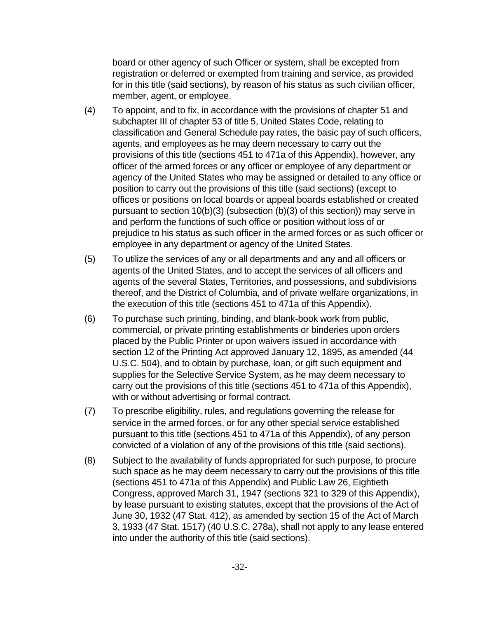board or other agency of such Officer or system, shall be excepted from registration or deferred or exempted from training and service, as provided for in this title (said sections), by reason of his status as such civilian officer, member, agent, or employee.

- (4) To appoint, and to fix, in accordance with the provisions of chapter 51 and subchapter III of chapter 53 of title 5, United States Code, relating to classification and General Schedule pay rates, the basic pay of such officers, agents, and employees as he may deem necessary to carry out the provisions of this title (sections 451 to 471a of this Appendix), however, any officer of the armed forces or any officer or employee of any department or agency of the United States who may be assigned or detailed to any office or position to carry out the provisions of this title (said sections) (except to offices or positions on local boards or appeal boards established or created pursuant to section 10(b)(3) (subsection (b)(3) of this section)) may serve in and perform the functions of such office or position without loss of or prejudice to his status as such officer in the armed forces or as such officer or employee in any department or agency of the United States.
- (5) To utilize the services of any or all departments and any and all officers or agents of the United States, and to accept the services of all officers and agents of the several States, Territories, and possessions, and subdivisions thereof, and the District of Columbia, and of private welfare organizations, in the execution of this title (sections 451 to 471a of this Appendix).
- (6) To purchase such printing, binding, and blank-book work from public, commercial, or private printing establishments or binderies upon orders placed by the Public Printer or upon waivers issued in accordance with section 12 of the Printing Act approved January 12, 1895, as amended (44 U.S.C. 504), and to obtain by purchase, loan, or gift such equipment and supplies for the Selective Service System, as he may deem necessary to carry out the provisions of this title (sections 451 to 471a of this Appendix), with or without advertising or formal contract.
- (7) To prescribe eligibility, rules, and regulations governing the release for service in the armed forces, or for any other special service established pursuant to this title (sections 451 to 471a of this Appendix), of any person convicted of a violation of any of the provisions of this title (said sections).
- (8) Subject to the availability of funds appropriated for such purpose, to procure such space as he may deem necessary to carry out the provisions of this title (sections 451 to 471a of this Appendix) and Public Law 26, Eightieth Congress, approved March 31, 1947 (sections 321 to 329 of this Appendix), by lease pursuant to existing statutes, except that the provisions of the Act of June 30, 1932 (47 Stat. 412), as amended by section 15 of the Act of March 3, 1933 (47 Stat. 1517) (40 U.S.C. 278a), shall not apply to any lease entered into under the authority of this title (said sections).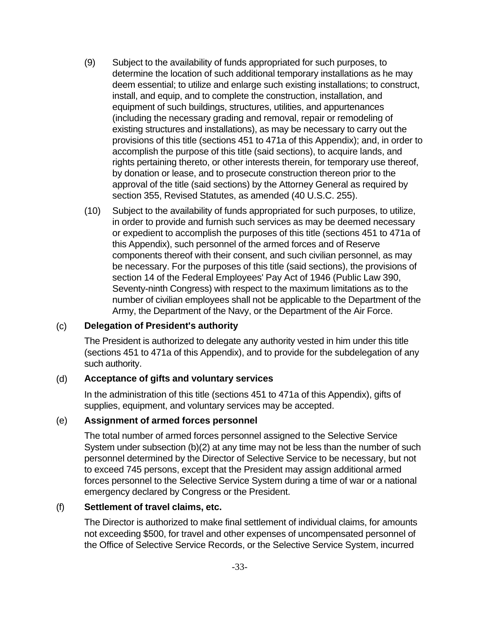- (9) Subject to the availability of funds appropriated for such purposes, to determine the location of such additional temporary installations as he may deem essential; to utilize and enlarge such existing installations; to construct, install, and equip, and to complete the construction, installation, and equipment of such buildings, structures, utilities, and appurtenances (including the necessary grading and removal, repair or remodeling of existing structures and installations), as may be necessary to carry out the provisions of this title (sections 451 to 471a of this Appendix); and, in order to accomplish the purpose of this title (said sections), to acquire lands, and rights pertaining thereto, or other interests therein, for temporary use thereof, by donation or lease, and to prosecute construction thereon prior to the approval of the title (said sections) by the Attorney General as required by section 355, Revised Statutes, as amended (40 U.S.C. 255).
- (10) Subject to the availability of funds appropriated for such purposes, to utilize, in order to provide and furnish such services as may be deemed necessary or expedient to accomplish the purposes of this title (sections 451 to 471a of this Appendix), such personnel of the armed forces and of Reserve components thereof with their consent, and such civilian personnel, as may be necessary. For the purposes of this title (said sections), the provisions of section 14 of the Federal Employees' Pay Act of 1946 (Public Law 390, Seventy-ninth Congress) with respect to the maximum limitations as to the number of civilian employees shall not be applicable to the Department of the Army, the Department of the Navy, or the Department of the Air Force.

#### (c) **Delegation of President's authority**

The President is authorized to delegate any authority vested in him under this title (sections 451 to 471a of this Appendix), and to provide for the subdelegation of any such authority.

#### (d) **Acceptance of gifts and voluntary services**

In the administration of this title (sections 451 to 471a of this Appendix), gifts of supplies, equipment, and voluntary services may be accepted.

#### (e) **Assignment of armed forces personnel**

The total number of armed forces personnel assigned to the Selective Service System under subsection (b)(2) at any time may not be less than the number of such personnel determined by the Director of Selective Service to be necessary, but not to exceed 745 persons, except that the President may assign additional armed forces personnel to the Selective Service System during a time of war or a national emergency declared by Congress or the President.

#### (f) **Settlement of travel claims, etc.**

The Director is authorized to make final settlement of individual claims, for amounts not exceeding \$500, for travel and other expenses of uncompensated personnel of the Office of Selective Service Records, or the Selective Service System, incurred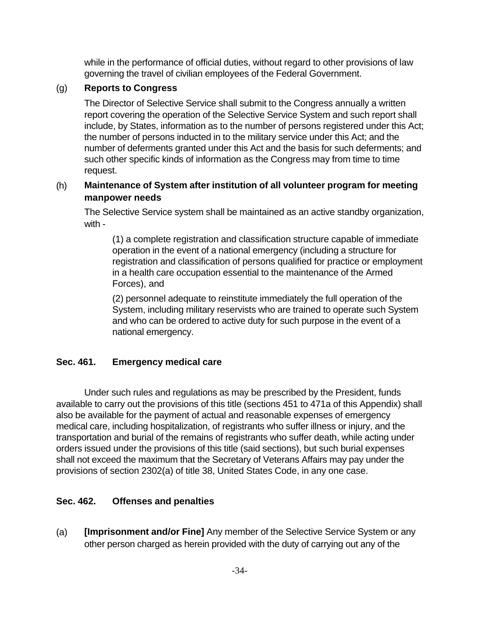while in the performance of official duties, without regard to other provisions of law governing the travel of civilian employees of the Federal Government.

## (g) **Reports to Congress**

The Director of Selective Service shall submit to the Congress annually a written report covering the operation of the Selective Service System and such report shall include, by States, information as to the number of persons registered under this Act; the number of persons inducted in to the military service under this Act; and the number of deferments granted under this Act and the basis for such deferments; and such other specific kinds of information as the Congress may from time to time request.

## (h) **Maintenance of System after institution of all volunteer program for meeting manpower needs**

The Selective Service system shall be maintained as an active standby organization, with -

(1) a complete registration and classification structure capable of immediate operation in the event of a national emergency (including a structure for registration and classification of persons qualified for practice or employment in a health care occupation essential to the maintenance of the Armed Forces), and

(2) personnel adequate to reinstitute immediately the full operation of the System, including military reservists who are trained to operate such System and who can be ordered to active duty for such purpose in the event of a national emergency.

# **Sec. 461. Emergency medical care**

Under such rules and regulations as may be prescribed by the President, funds available to carry out the provisions of this title (sections 451 to 471a of this Appendix) shall also be available for the payment of actual and reasonable expenses of emergency medical care, including hospitalization, of registrants who suffer illness or injury, and the transportation and burial of the remains of registrants who suffer death, while acting under orders issued under the provisions of this title (said sections), but such burial expenses shall not exceed the maximum that the Secretary of Veterans Affairs may pay under the provisions of section 2302(a) of title 38, United States Code, in any one case.

# **Sec. 462. Offenses and penalties**

(a) **[Imprisonment and/or Fine]** Any member of the Selective Service System or any other person charged as herein provided with the duty of carrying out any of the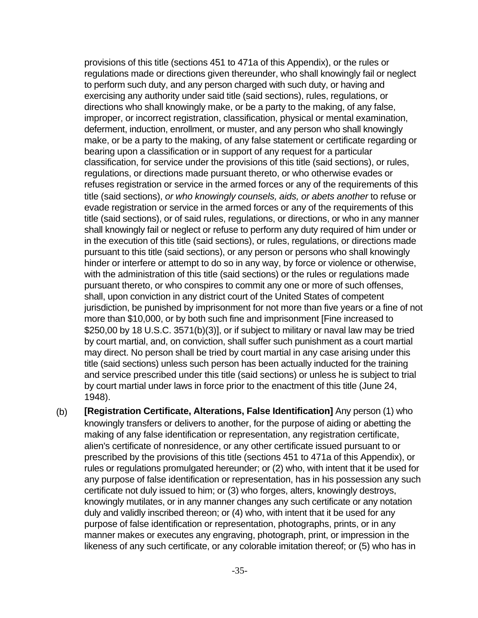provisions of this title (sections 451 to 471a of this Appendix), or the rules or regulations made or directions given thereunder, who shall knowingly fail or neglect to perform such duty, and any person charged with such duty, or having and exercising any authority under said title (said sections), rules, regulations, or directions who shall knowingly make, or be a party to the making, of any false, improper, or incorrect registration, classification, physical or mental examination, deferment, induction, enrollment, or muster, and any person who shall knowingly make, or be a party to the making, of any false statement or certificate regarding or bearing upon a classification or in support of any request for a particular classification, for service under the provisions of this title (said sections), or rules, regulations, or directions made pursuant thereto, or who otherwise evades or refuses registration or service in the armed forces or any of the requirements of this title (said sections), *or who knowingly counsels, aids, or abets another* to refuse or evade registration or service in the armed forces or any of the requirements of this title (said sections), or of said rules, regulations, or directions, or who in any manner shall knowingly fail or neglect or refuse to perform any duty required of him under or in the execution of this title (said sections), or rules, regulations, or directions made pursuant to this title (said sections), or any person or persons who shall knowingly hinder or interfere or attempt to do so in any way, by force or violence or otherwise, with the administration of this title (said sections) or the rules or regulations made pursuant thereto, or who conspires to commit any one or more of such offenses, shall, upon conviction in any district court of the United States of competent jurisdiction, be punished by imprisonment for not more than five years or a fine of not more than \$10,000, or by both such fine and imprisonment [Fine increased to \$250,00 by 18 U.S.C. 3571(b)(3)], or if subject to military or naval law may be tried by court martial, and, on conviction, shall suffer such punishment as a court martial may direct. No person shall be tried by court martial in any case arising under this title (said sections) unless such person has been actually inducted for the training and service prescribed under this title (said sections) or unless he is subject to trial by court martial under laws in force prior to the enactment of this title (June 24, 1948).

(b) **[Registration Certificate, Alterations, False Identification]** Any person (1) who knowingly transfers or delivers to another, for the purpose of aiding or abetting the making of any false identification or representation, any registration certificate, alien's certificate of nonresidence, or any other certificate issued pursuant to or prescribed by the provisions of this title (sections 451 to 471a of this Appendix), or rules or regulations promulgated hereunder; or (2) who, with intent that it be used for any purpose of false identification or representation, has in his possession any such certificate not duly issued to him; or (3) who forges, alters, knowingly destroys, knowingly mutilates, or in any manner changes any such certificate or any notation duly and validly inscribed thereon; or (4) who, with intent that it be used for any purpose of false identification or representation, photographs, prints, or in any manner makes or executes any engraving, photograph, print, or impression in the likeness of any such certificate, or any colorable imitation thereof; or (5) who has in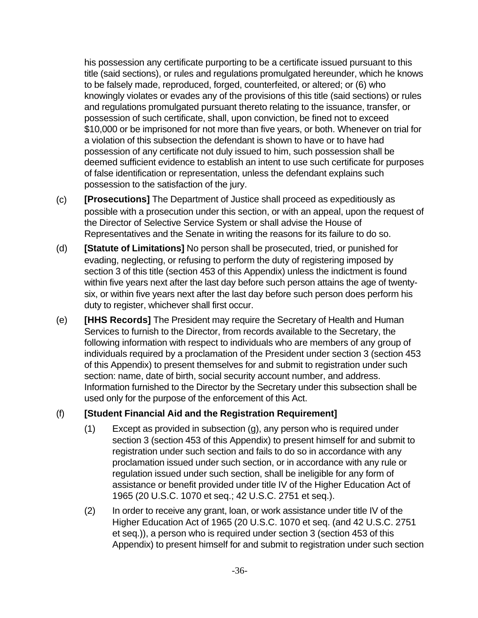his possession any certificate purporting to be a certificate issued pursuant to this title (said sections), or rules and regulations promulgated hereunder, which he knows to be falsely made, reproduced, forged, counterfeited, or altered; or (6) who knowingly violates or evades any of the provisions of this title (said sections) or rules and regulations promulgated pursuant thereto relating to the issuance, transfer, or possession of such certificate, shall, upon conviction, be fined not to exceed \$10,000 or be imprisoned for not more than five years, or both. Whenever on trial for a violation of this subsection the defendant is shown to have or to have had possession of any certificate not duly issued to him, such possession shall be deemed sufficient evidence to establish an intent to use such certificate for purposes of false identification or representation, unless the defendant explains such possession to the satisfaction of the jury.

- (c) **[Prosecutions]** The Department of Justice shall proceed as expeditiously as possible with a prosecution under this section, or with an appeal, upon the request of the Director of Selective Service System or shall advise the House of Representatives and the Senate in writing the reasons for its failure to do so.
- (d) **[Statute of Limitations]** No person shall be prosecuted, tried, or punished for evading, neglecting, or refusing to perform the duty of registering imposed by section 3 of this title (section 453 of this Appendix) unless the indictment is found within five years next after the last day before such person attains the age of twentysix, or within five years next after the last day before such person does perform his duty to register, whichever shall first occur.
- (e) **[HHS Records]** The President may require the Secretary of Health and Human Services to furnish to the Director, from records available to the Secretary, the following information with respect to individuals who are members of any group of individuals required by a proclamation of the President under section 3 (section 453 of this Appendix) to present themselves for and submit to registration under such section: name, date of birth, social security account number, and address. Information furnished to the Director by the Secretary under this subsection shall be used only for the purpose of the enforcement of this Act.

# (f) **[Student Financial Aid and the Registration Requirement]**

- (1) Except as provided in subsection (g), any person who is required under section 3 (section 453 of this Appendix) to present himself for and submit to registration under such section and fails to do so in accordance with any proclamation issued under such section, or in accordance with any rule or regulation issued under such section, shall be ineligible for any form of assistance or benefit provided under title IV of the Higher Education Act of 1965 (20 U.S.C. 1070 et seq.; 42 U.S.C. 2751 et seq.).
- (2) In order to receive any grant, loan, or work assistance under title IV of the Higher Education Act of 1965 (20 U.S.C. 1070 et seq. (and 42 U.S.C. 2751 et seq.)), a person who is required under section 3 (section 453 of this Appendix) to present himself for and submit to registration under such section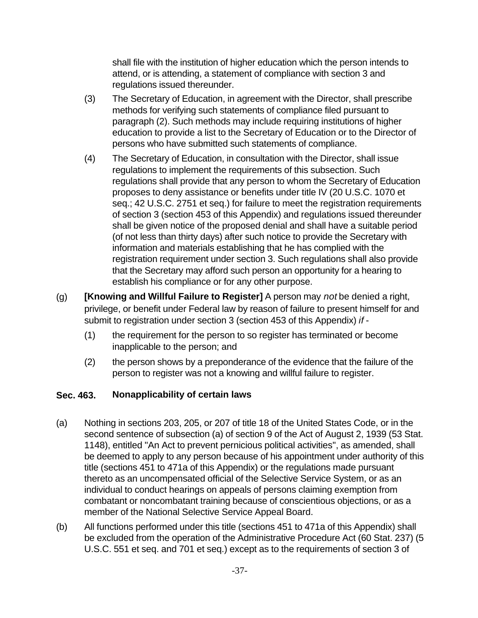shall file with the institution of higher education which the person intends to attend, or is attending, a statement of compliance with section 3 and regulations issued thereunder.

- (3) The Secretary of Education, in agreement with the Director, shall prescribe methods for verifying such statements of compliance filed pursuant to paragraph (2). Such methods may include requiring institutions of higher education to provide a list to the Secretary of Education or to the Director of persons who have submitted such statements of compliance.
- (4) The Secretary of Education, in consultation with the Director, shall issue regulations to implement the requirements of this subsection. Such regulations shall provide that any person to whom the Secretary of Education proposes to deny assistance or benefits under title IV (20 U.S.C. 1070 et seq.; 42 U.S.C. 2751 et seq.) for failure to meet the registration requirements of section 3 (section 453 of this Appendix) and regulations issued thereunder shall be given notice of the proposed denial and shall have a suitable period (of not less than thirty days) after such notice to provide the Secretary with information and materials establishing that he has complied with the registration requirement under section 3. Such regulations shall also provide that the Secretary may afford such person an opportunity for a hearing to establish his compliance or for any other purpose.
- (g) **[Knowing and Willful Failure to Register]** A person may *not* be denied a right, privilege, or benefit under Federal law by reason of failure to present himself for and submit to registration under section 3 (section 453 of this Appendix) *if* -
	- (1) the requirement for the person to so register has terminated or become inapplicable to the person; and
	- (2) the person shows by a preponderance of the evidence that the failure of the person to register was not a knowing and willful failure to register.

## **Sec. 463. Nonapplicability of certain laws**

- (a) Nothing in sections 203, 205, or 207 of title 18 of the United States Code, or in the second sentence of subsection (a) of section 9 of the Act of August 2, 1939 (53 Stat. 1148), entitled ''An Act to prevent pernicious political activities'', as amended, shall be deemed to apply to any person because of his appointment under authority of this title (sections 451 to 471a of this Appendix) or the regulations made pursuant thereto as an uncompensated official of the Selective Service System, or as an individual to conduct hearings on appeals of persons claiming exemption from combatant or noncombatant training because of conscientious objections, or as a member of the National Selective Service Appeal Board.
- (b) All functions performed under this title (sections 451 to 471a of this Appendix) shall be excluded from the operation of the Administrative Procedure Act (60 Stat. 237) (5 U.S.C. 551 et seq. and 701 et seq.) except as to the requirements of section 3 of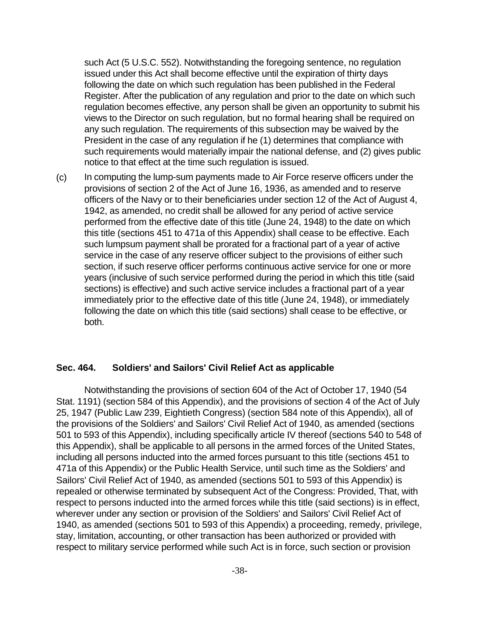such Act (5 U.S.C. 552). Notwithstanding the foregoing sentence, no regulation issued under this Act shall become effective until the expiration of thirty days following the date on which such regulation has been published in the Federal Register. After the publication of any regulation and prior to the date on which such regulation becomes effective, any person shall be given an opportunity to submit his views to the Director on such regulation, but no formal hearing shall be required on any such regulation. The requirements of this subsection may be waived by the President in the case of any regulation if he (1) determines that compliance with such requirements would materially impair the national defense, and (2) gives public notice to that effect at the time such regulation is issued.

(c) In computing the lump-sum payments made to Air Force reserve officers under the provisions of section 2 of the Act of June 16, 1936, as amended and to reserve officers of the Navy or to their beneficiaries under section 12 of the Act of August 4, 1942, as amended, no credit shall be allowed for any period of active service performed from the effective date of this title (June 24, 1948) to the date on which this title (sections 451 to 471a of this Appendix) shall cease to be effective. Each such lumpsum payment shall be prorated for a fractional part of a year of active service in the case of any reserve officer subject to the provisions of either such section, if such reserve officer performs continuous active service for one or more years (inclusive of such service performed during the period in which this title (said sections) is effective) and such active service includes a fractional part of a year immediately prior to the effective date of this title (June 24, 1948), or immediately following the date on which this title (said sections) shall cease to be effective, or both.

#### **Sec. 464. Soldiers' and Sailors' Civil Relief Act as applicable**

Notwithstanding the provisions of section 604 of the Act of October 17, 1940 (54 Stat. 1191) (section 584 of this Appendix), and the provisions of section 4 of the Act of July 25, 1947 (Public Law 239, Eightieth Congress) (section 584 note of this Appendix), all of the provisions of the Soldiers' and Sailors' Civil Relief Act of 1940, as amended (sections 501 to 593 of this Appendix), including specifically article IV thereof (sections 540 to 548 of this Appendix), shall be applicable to all persons in the armed forces of the United States, including all persons inducted into the armed forces pursuant to this title (sections 451 to 471a of this Appendix) or the Public Health Service, until such time as the Soldiers' and Sailors' Civil Relief Act of 1940, as amended (sections 501 to 593 of this Appendix) is repealed or otherwise terminated by subsequent Act of the Congress: Provided, That, with respect to persons inducted into the armed forces while this title (said sections) is in effect, wherever under any section or provision of the Soldiers' and Sailors' Civil Relief Act of 1940, as amended (sections 501 to 593 of this Appendix) a proceeding, remedy, privilege, stay, limitation, accounting, or other transaction has been authorized or provided with respect to military service performed while such Act is in force, such section or provision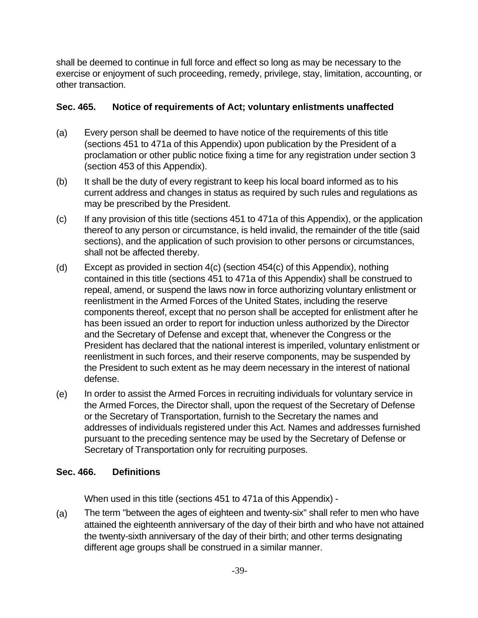shall be deemed to continue in full force and effect so long as may be necessary to the exercise or enjoyment of such proceeding, remedy, privilege, stay, limitation, accounting, or other transaction.

## **Sec. 465. Notice of requirements of Act; voluntary enlistments unaffected**

- (a) Every person shall be deemed to have notice of the requirements of this title (sections 451 to 471a of this Appendix) upon publication by the President of a proclamation or other public notice fixing a time for any registration under section 3 (section 453 of this Appendix).
- (b) It shall be the duty of every registrant to keep his local board informed as to his current address and changes in status as required by such rules and regulations as may be prescribed by the President.
- (c) If any provision of this title (sections 451 to 471a of this Appendix), or the application thereof to any person or circumstance, is held invalid, the remainder of the title (said sections), and the application of such provision to other persons or circumstances, shall not be affected thereby.
- (d) Except as provided in section 4(c) (section 454(c) of this Appendix), nothing contained in this title (sections 451 to 471a of this Appendix) shall be construed to repeal, amend, or suspend the laws now in force authorizing voluntary enlistment or reenlistment in the Armed Forces of the United States, including the reserve components thereof, except that no person shall be accepted for enlistment after he has been issued an order to report for induction unless authorized by the Director and the Secretary of Defense and except that, whenever the Congress or the President has declared that the national interest is imperiled, voluntary enlistment or reenlistment in such forces, and their reserve components, may be suspended by the President to such extent as he may deem necessary in the interest of national defense.
- (e) In order to assist the Armed Forces in recruiting individuals for voluntary service in the Armed Forces, the Director shall, upon the request of the Secretary of Defense or the Secretary of Transportation, furnish to the Secretary the names and addresses of individuals registered under this Act. Names and addresses furnished pursuant to the preceding sentence may be used by the Secretary of Defense or Secretary of Transportation only for recruiting purposes.

## **Sec. 466. Definitions**

When used in this title (sections 451 to 471a of this Appendix) -

(a) The term ''between the ages of eighteen and twenty-six'' shall refer to men who have attained the eighteenth anniversary of the day of their birth and who have not attained the twenty-sixth anniversary of the day of their birth; and other terms designating different age groups shall be construed in a similar manner.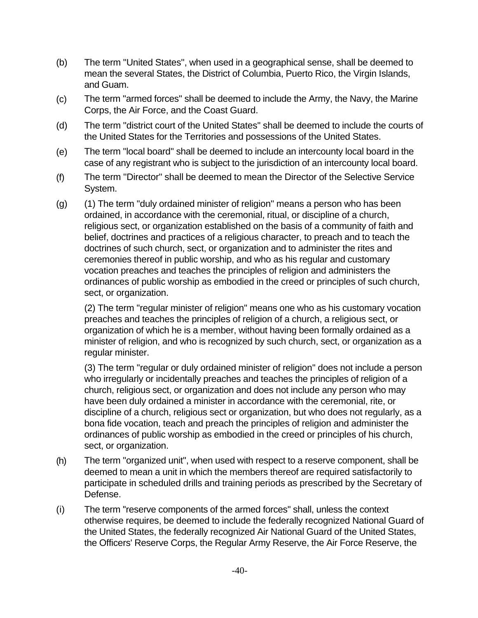- (b) The term ''United States'', when used in a geographical sense, shall be deemed to mean the several States, the District of Columbia, Puerto Rico, the Virgin Islands, and Guam.
- (c) The term ''armed forces'' shall be deemed to include the Army, the Navy, the Marine Corps, the Air Force, and the Coast Guard.
- (d) The term ''district court of the United States'' shall be deemed to include the courts of the United States for the Territories and possessions of the United States.
- (e) The term ''local board'' shall be deemed to include an intercounty local board in the case of any registrant who is subject to the jurisdiction of an intercounty local board.
- (f) The term ''Director'' shall be deemed to mean the Director of the Selective Service System.
- (g) (1) The term ''duly ordained minister of religion'' means a person who has been ordained, in accordance with the ceremonial, ritual, or discipline of a church, religious sect, or organization established on the basis of a community of faith and belief, doctrines and practices of a religious character, to preach and to teach the doctrines of such church, sect, or organization and to administer the rites and ceremonies thereof in public worship, and who as his regular and customary vocation preaches and teaches the principles of religion and administers the ordinances of public worship as embodied in the creed or principles of such church, sect, or organization.

(2) The term ''regular minister of religion'' means one who as his customary vocation preaches and teaches the principles of religion of a church, a religious sect, or organization of which he is a member, without having been formally ordained as a minister of religion, and who is recognized by such church, sect, or organization as a regular minister.

(3) The term ''regular or duly ordained minister of religion'' does not include a person who irregularly or incidentally preaches and teaches the principles of religion of a church, religious sect, or organization and does not include any person who may have been duly ordained a minister in accordance with the ceremonial, rite, or discipline of a church, religious sect or organization, but who does not regularly, as a bona fide vocation, teach and preach the principles of religion and administer the ordinances of public worship as embodied in the creed or principles of his church, sect, or organization.

- (h) The term ''organized unit'', when used with respect to a reserve component, shall be deemed to mean a unit in which the members thereof are required satisfactorily to participate in scheduled drills and training periods as prescribed by the Secretary of Defense.
- (i) The term ''reserve components of the armed forces'' shall, unless the context otherwise requires, be deemed to include the federally recognized National Guard of the United States, the federally recognized Air National Guard of the United States, the Officers' Reserve Corps, the Regular Army Reserve, the Air Force Reserve, the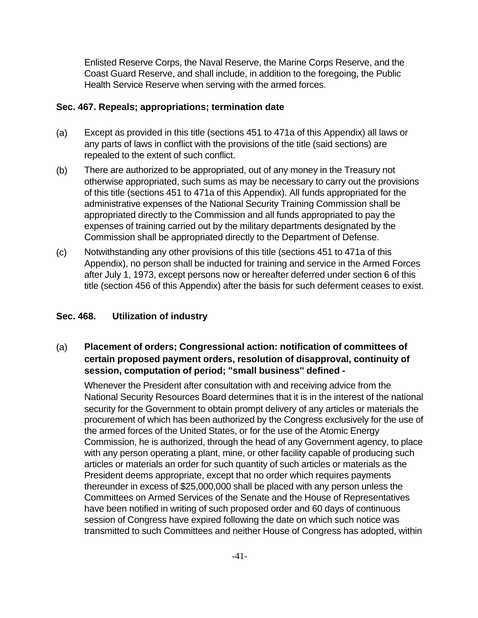Enlisted Reserve Corps, the Naval Reserve, the Marine Corps Reserve, and the Coast Guard Reserve, and shall include, in addition to the foregoing, the Public Health Service Reserve when serving with the armed forces.

#### **Sec. 467. Repeals; appropriations; termination date**

- (a) Except as provided in this title (sections 451 to 471a of this Appendix) all laws or any parts of laws in conflict with the provisions of the title (said sections) are repealed to the extent of such conflict.
- (b) There are authorized to be appropriated, out of any money in the Treasury not otherwise appropriated, such sums as may be necessary to carry out the provisions of this title (sections 451 to 471a of this Appendix). All funds appropriated for the administrative expenses of the National Security Training Commission shall be appropriated directly to the Commission and all funds appropriated to pay the expenses of training carried out by the military departments designated by the Commission shall be appropriated directly to the Department of Defense.
- (c) Notwithstanding any other provisions of this title (sections 451 to 471a of this Appendix), no person shall be inducted for training and service in the Armed Forces after July 1, 1973, except persons now or hereafter deferred under section 6 of this title (section 456 of this Appendix) after the basis for such deferment ceases to exist.

## **Sec. 468. Utilization of industry**

(a) **Placement of orders; Congressional action: notification of committees of certain proposed payment orders, resolution of disapproval, continuity of session, computation of period; ''small business'' defined -** 

Whenever the President after consultation with and receiving advice from the National Security Resources Board determines that it is in the interest of the national security for the Government to obtain prompt delivery of any articles or materials the procurement of which has been authorized by the Congress exclusively for the use of the armed forces of the United States, or for the use of the Atomic Energy Commission, he is authorized, through the head of any Government agency, to place with any person operating a plant, mine, or other facility capable of producing such articles or materials an order for such quantity of such articles or materials as the President deems appropriate, except that no order which requires payments thereunder in excess of \$25,000,000 shall be placed with any person unless the Committees on Armed Services of the Senate and the House of Representatives have been notified in writing of such proposed order and 60 days of continuous session of Congress have expired following the date on which such notice was transmitted to such Committees and neither House of Congress has adopted, within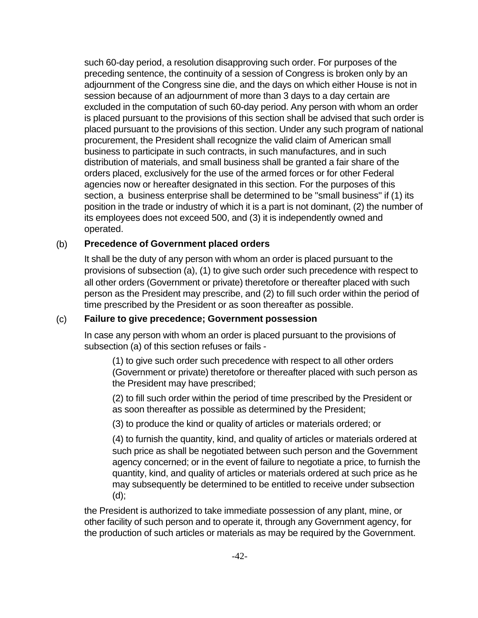such 60-day period, a resolution disapproving such order. For purposes of the preceding sentence, the continuity of a session of Congress is broken only by an adjournment of the Congress sine die, and the days on which either House is not in session because of an adjournment of more than 3 days to a day certain are excluded in the computation of such 60-day period. Any person with whom an order is placed pursuant to the provisions of this section shall be advised that such order is placed pursuant to the provisions of this section. Under any such program of national procurement, the President shall recognize the valid claim of American small business to participate in such contracts, in such manufactures, and in such distribution of materials, and small business shall be granted a fair share of the orders placed, exclusively for the use of the armed forces or for other Federal agencies now or hereafter designated in this section. For the purposes of this section, a business enterprise shall be determined to be ''small business'' if (1) its position in the trade or industry of which it is a part is not dominant, (2) the number of its employees does not exceed 500, and (3) it is independently owned and operated.

#### (b) **Precedence of Government placed orders**

It shall be the duty of any person with whom an order is placed pursuant to the provisions of subsection (a), (1) to give such order such precedence with respect to all other orders (Government or private) theretofore or thereafter placed with such person as the President may prescribe, and (2) to fill such order within the period of time prescribed by the President or as soon thereafter as possible.

## (c) **Failure to give precedence; Government possession**

In case any person with whom an order is placed pursuant to the provisions of subsection (a) of this section refuses or fails -

(1) to give such order such precedence with respect to all other orders (Government or private) theretofore or thereafter placed with such person as the President may have prescribed;

(2) to fill such order within the period of time prescribed by the President or as soon thereafter as possible as determined by the President;

(3) to produce the kind or quality of articles or materials ordered; or

(4) to furnish the quantity, kind, and quality of articles or materials ordered at such price as shall be negotiated between such person and the Government agency concerned; or in the event of failure to negotiate a price, to furnish the quantity, kind, and quality of articles or materials ordered at such price as he may subsequently be determined to be entitled to receive under subsection (d);

the President is authorized to take immediate possession of any plant, mine, or other facility of such person and to operate it, through any Government agency, for the production of such articles or materials as may be required by the Government.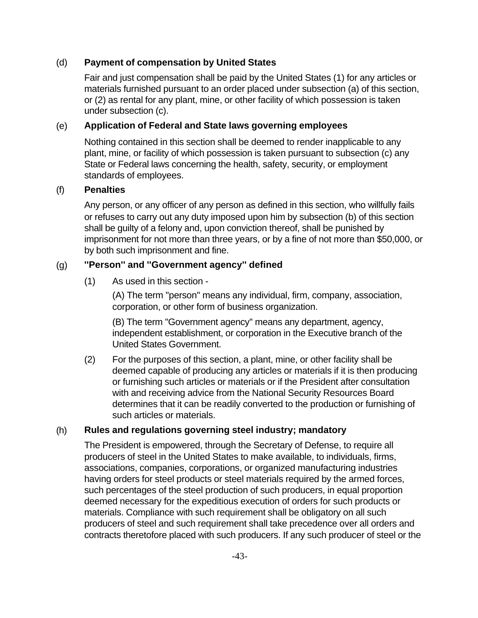#### (d) **Payment of compensation by United States**

Fair and just compensation shall be paid by the United States (1) for any articles or materials furnished pursuant to an order placed under subsection (a) of this section, or (2) as rental for any plant, mine, or other facility of which possession is taken under subsection (c).

#### (e) **Application of Federal and State laws governing employees**

Nothing contained in this section shall be deemed to render inapplicable to any plant, mine, or facility of which possession is taken pursuant to subsection (c) any State or Federal laws concerning the health, safety, security, or employment standards of employees.

#### (f) **Penalties**

Any person, or any officer of any person as defined in this section, who willfully fails or refuses to carry out any duty imposed upon him by subsection (b) of this section shall be guilty of a felony and, upon conviction thereof, shall be punished by imprisonment for not more than three years, or by a fine of not more than \$50,000, or by both such imprisonment and fine.

## (g) **''Person'' and ''Government agency'' defined**

(1) As used in this section -

(A) The term ''person'' means any individual, firm, company, association, corporation, or other form of business organization.

(B) The term ''Government agency'' means any department, agency, independent establishment, or corporation in the Executive branch of the United States Government.

(2) For the purposes of this section, a plant, mine, or other facility shall be deemed capable of producing any articles or materials if it is then producing or furnishing such articles or materials or if the President after consultation with and receiving advice from the National Security Resources Board determines that it can be readily converted to the production or furnishing of such articles or materials.

## (h) **Rules and regulations governing steel industry; mandatory**

The President is empowered, through the Secretary of Defense, to require all producers of steel in the United States to make available, to individuals, firms, associations, companies, corporations, or organized manufacturing industries having orders for steel products or steel materials required by the armed forces, such percentages of the steel production of such producers, in equal proportion deemed necessary for the expeditious execution of orders for such products or materials. Compliance with such requirement shall be obligatory on all such producers of steel and such requirement shall take precedence over all orders and contracts theretofore placed with such producers. If any such producer of steel or the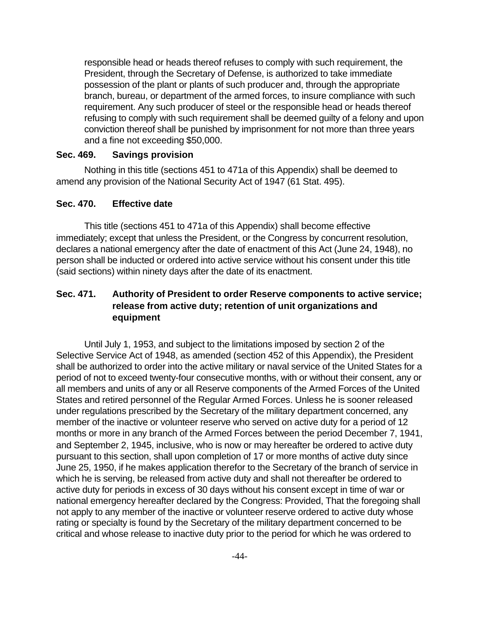responsible head or heads thereof refuses to comply with such requirement, the President, through the Secretary of Defense, is authorized to take immediate possession of the plant or plants of such producer and, through the appropriate branch, bureau, or department of the armed forces, to insure compliance with such requirement. Any such producer of steel or the responsible head or heads thereof refusing to comply with such requirement shall be deemed guilty of a felony and upon conviction thereof shall be punished by imprisonment for not more than three years and a fine not exceeding \$50,000.

#### **Sec. 469. Savings provision**

Nothing in this title (sections 451 to 471a of this Appendix) shall be deemed to amend any provision of the National Security Act of 1947 (61 Stat. 495).

## **Sec. 470. Effective date**

This title (sections 451 to 471a of this Appendix) shall become effective immediately; except that unless the President, or the Congress by concurrent resolution, declares a national emergency after the date of enactment of this Act (June 24, 1948), no person shall be inducted or ordered into active service without his consent under this title (said sections) within ninety days after the date of its enactment.

## **Sec. 471. Authority of President to order Reserve components to active service; release from active duty; retention of unit organizations and equipment**

 Until July 1, 1953, and subject to the limitations imposed by section 2 of the Selective Service Act of 1948, as amended (section 452 of this Appendix), the President shall be authorized to order into the active military or naval service of the United States for a period of not to exceed twenty-four consecutive months, with or without their consent, any or all members and units of any or all Reserve components of the Armed Forces of the United States and retired personnel of the Regular Armed Forces. Unless he is sooner released under regulations prescribed by the Secretary of the military department concerned, any member of the inactive or volunteer reserve who served on active duty for a period of 12 months or more in any branch of the Armed Forces between the period December 7, 1941, and September 2, 1945, inclusive, who is now or may hereafter be ordered to active duty pursuant to this section, shall upon completion of 17 or more months of active duty since June 25, 1950, if he makes application therefor to the Secretary of the branch of service in which he is serving, be released from active duty and shall not thereafter be ordered to active duty for periods in excess of 30 days without his consent except in time of war or national emergency hereafter declared by the Congress: Provided, That the foregoing shall not apply to any member of the inactive or volunteer reserve ordered to active duty whose rating or specialty is found by the Secretary of the military department concerned to be critical and whose release to inactive duty prior to the period for which he was ordered to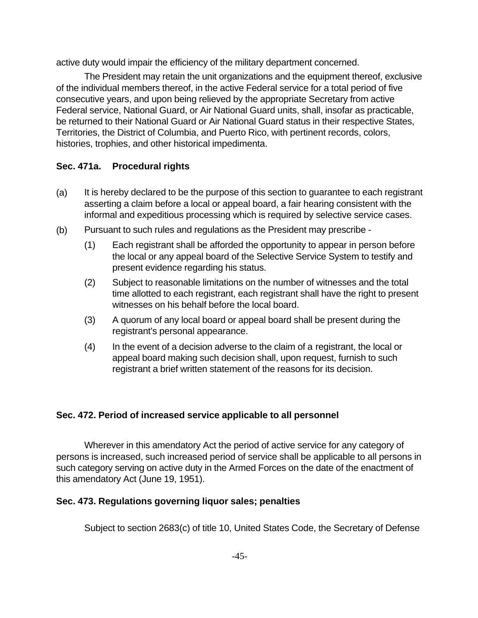active duty would impair the efficiency of the military department concerned.

The President may retain the unit organizations and the equipment thereof, exclusive of the individual members thereof, in the active Federal service for a total period of five consecutive years, and upon being relieved by the appropriate Secretary from active Federal service, National Guard, or Air National Guard units, shall, insofar as practicable, be returned to their National Guard or Air National Guard status in their respective States, Territories, the District of Columbia, and Puerto Rico, with pertinent records, colors, histories, trophies, and other historical impedimenta.

## **Sec. 471a. Procedural rights**

- (a) It is hereby declared to be the purpose of this section to guarantee to each registrant asserting a claim before a local or appeal board, a fair hearing consistent with the informal and expeditious processing which is required by selective service cases.
- (b) Pursuant to such rules and regulations as the President may prescribe
	- (1) Each registrant shall be afforded the opportunity to appear in person before the local or any appeal board of the Selective Service System to testify and present evidence regarding his status.
	- (2) Subject to reasonable limitations on the number of witnesses and the total time allotted to each registrant, each registrant shall have the right to present witnesses on his behalf before the local board.
	- (3) A quorum of any local board or appeal board shall be present during the registrant's personal appearance.
	- (4) In the event of a decision adverse to the claim of a registrant, the local or appeal board making such decision shall, upon request, furnish to such registrant a brief written statement of the reasons for its decision.

# **Sec. 472. Period of increased service applicable to all personnel**

Wherever in this amendatory Act the period of active service for any category of persons is increased, such increased period of service shall be applicable to all persons in such category serving on active duty in the Armed Forces on the date of the enactment of this amendatory Act (June 19, 1951).

## **Sec. 473. Regulations governing liquor sales; penalties**

Subject to section 2683(c) of title 10, United States Code, the Secretary of Defense